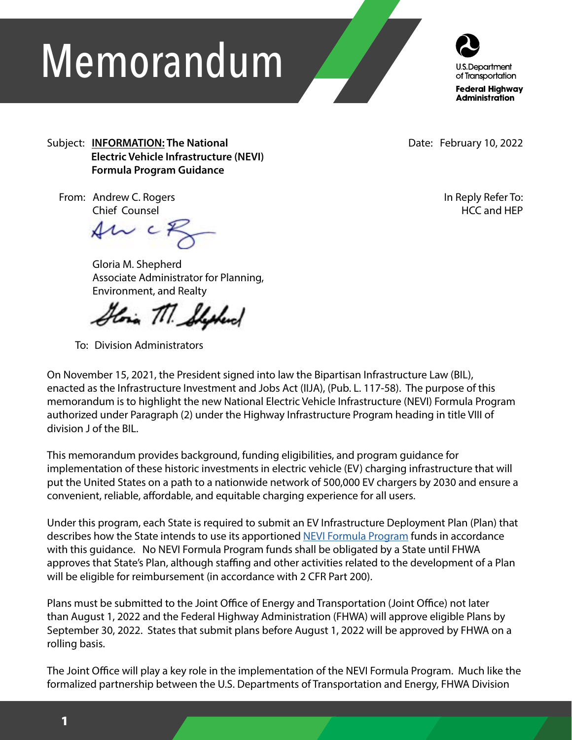# Memorandum



Subject: **INFORMATION: The National Electric Vehicle Infrastructure (NEVI) Formula Program Guidance**

Date: February 10, 2022

 From: Andrew C. Rogers Chief Counsel

 $4w$  cf

 Gloria M. Shepherd Associate Administrator for Planning, Environment, and Realty

King TIT. Shakend

To: Division Administrators

In Reply Refer To: HCC and HEP

On November 15, 2021, the President signed into law the Bipartisan Infrastructure Law (BIL), enacted as the Infrastructure Investment and Jobs Act (IIJA), (Pub. L. 117-58). The purpose of this memorandum is to highlight the new National Electric Vehicle Infrastructure (NEVI) Formula Program authorized under Paragraph (2) under the Highway Infrastructure Program heading in title VIII of division J of the BIL.

This memorandum provides background, funding eligibilities, and program guidance for implementation of these historic investments in electric vehicle (EV) charging infrastructure that will put the United States on a path to a nationwide network of 500,000 EV chargers by 2030 and ensure a convenient, reliable, affordable, and equitable charging experience for all users.

Under this program, each State is required to submit an EV Infrastructure Deployment Plan (Plan) that describes how the State intends to use its apportioned [NEVI Formula Program](https://www.fhwa.dot.gov/legsregs/directives/notices/n4510863.cfm) funds in accordance with this guidance. No NEVI Formula Program funds shall be obligated by a State until FHWA approves that State's Plan, although staffing and other activities related to the development of a Plan will be eligible for reimbursement (in accordance with 2 CFR Part 200).

Plans must be submitted to the Joint Office of Energy and Transportation (Joint Office) not later than August 1, 2022 and the Federal Highway Administration (FHWA) will approve eligible Plans by September 30, 2022. States that submit plans before August 1, 2022 will be approved by FHWA on a rolling basis.

The Joint Office will play a key role in the implementation of the NEVI Formula Program. Much like the formalized partnership between the U.S. Departments of Transportation and Energy, FHWA Division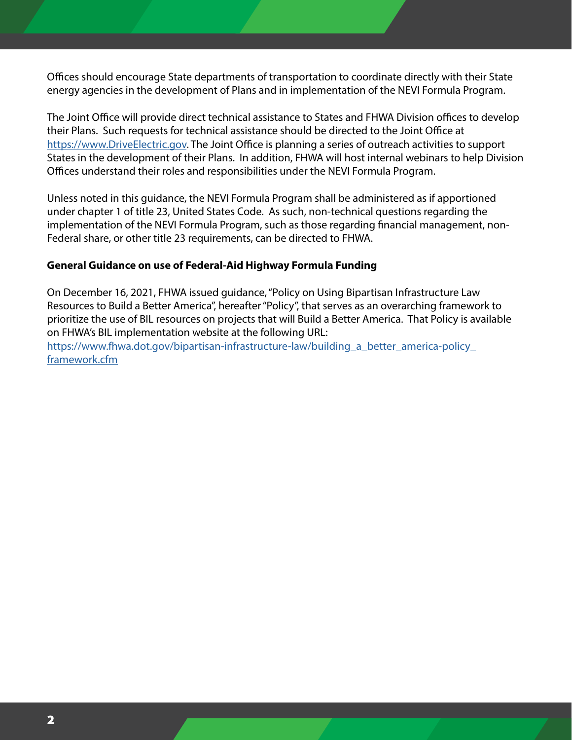Offices should encourage State departments of transportation to coordinate directly with their State energy agencies in the development of Plans and in implementation of the NEVI Formula Program.

The Joint Office will provide direct technical assistance to States and FHWA Division offices to develop their Plans. Such requests for technical assistance should be directed to the Joint Office at [https://www.DriveElectric.gov.](https://www.DriveElectric.gov) The Joint Office is planning a series of outreach activities to support States in the development of their Plans. In addition, FHWA will host internal webinars to help Division Offices understand their roles and responsibilities under the NEVI Formula Program.

Unless noted in this guidance, the NEVI Formula Program shall be administered as if apportioned under chapter 1 of title 23, United States Code. As such, non-technical questions regarding the implementation of the NEVI Formula Program, such as those regarding financial management, non-Federal share, or other title 23 requirements, can be directed to FHWA.

#### **General Guidance on use of Federal-Aid Highway Formula Funding**

On December 16, 2021, FHWA issued guidance, "Policy on Using Bipartisan Infrastructure Law Resources to Build a Better America", hereafter "Policy", that serves as an overarching framework to prioritize the use of BIL resources on projects that will Build a Better America. That Policy is available on FHWA's BIL implementation website at the following URL:

https://www.fhwa.dot.gov/bipartisan-infrastructure-law/building a better america-policy [framework.cfm](https://www.fhwa.dot.gov/bipartisan-infrastructure-law/building_a_better_america-policy_framework.cf)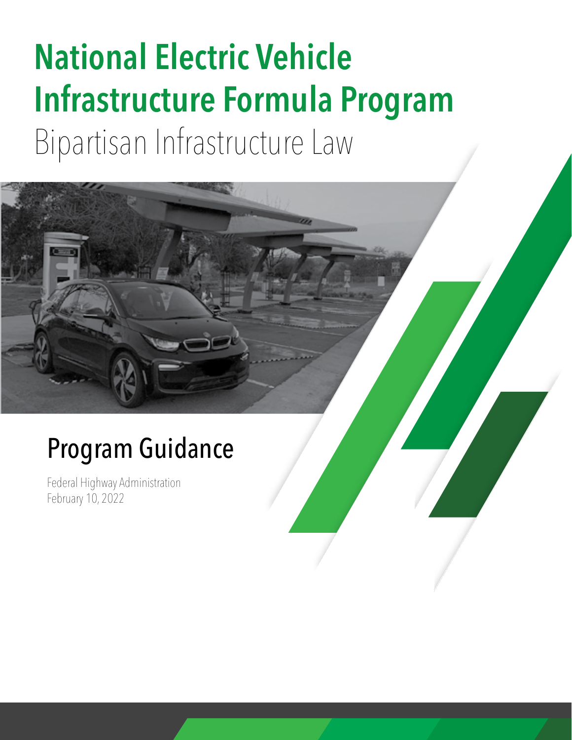## **National Electric Vehicle Infrastructure Formula Program** Bipartisan Infrastructure Law

## Program Guidance

Federal Highway Administration February 10, 2022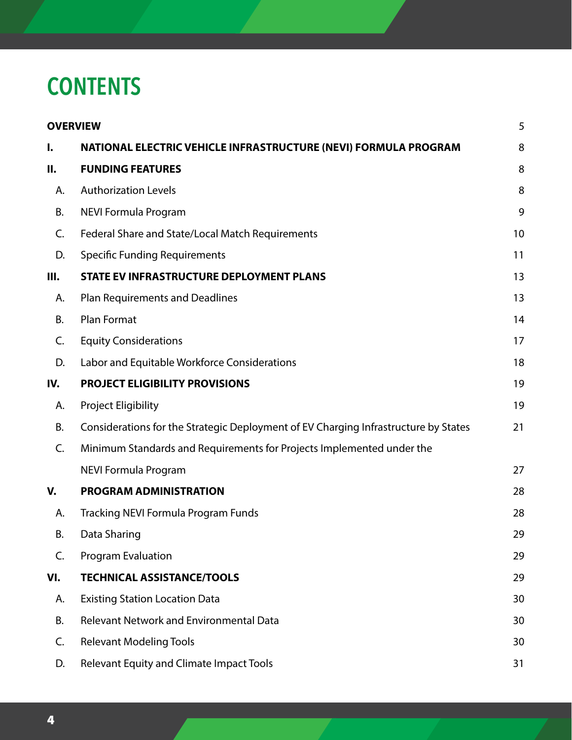### **CONTENTS**

|     | <b>OVERVIEW</b>                                                                     | 5  |
|-----|-------------------------------------------------------------------------------------|----|
| I.  | NATIONAL ELECTRIC VEHICLE INFRASTRUCTURE (NEVI) FORMULA PROGRAM                     | 8  |
| П.  | <b>FUNDING FEATURES</b>                                                             | 8  |
| А.  | <b>Authorization Levels</b>                                                         | 8  |
| В.  | NEVI Formula Program                                                                | 9  |
| C.  | Federal Share and State/Local Match Requirements                                    | 10 |
| D.  | <b>Specific Funding Requirements</b>                                                | 11 |
| Ш.  | STATE EV INFRASTRUCTURE DEPLOYMENT PLANS                                            | 13 |
| А.  | <b>Plan Requirements and Deadlines</b>                                              | 13 |
| В.  | <b>Plan Format</b>                                                                  | 14 |
| C.  | <b>Equity Considerations</b>                                                        | 17 |
| D.  | Labor and Equitable Workforce Considerations                                        | 18 |
| IV. | <b>PROJECT ELIGIBILITY PROVISIONS</b>                                               | 19 |
| А.  | Project Eligibility                                                                 | 19 |
| В.  | Considerations for the Strategic Deployment of EV Charging Infrastructure by States | 21 |
| C.  | Minimum Standards and Requirements for Projects Implemented under the               |    |
|     | NEVI Formula Program                                                                | 27 |
| V.  | <b>PROGRAM ADMINISTRATION</b>                                                       | 28 |
| А.  | <b>Tracking NEVI Formula Program Funds</b>                                          | 28 |
| В.  | Data Sharing                                                                        | 29 |
| C.  | <b>Program Evaluation</b>                                                           | 29 |
| VI. | <b>TECHNICAL ASSISTANCE/TOOLS</b>                                                   | 29 |
| А.  | <b>Existing Station Location Data</b>                                               | 30 |
| В.  | <b>Relevant Network and Environmental Data</b>                                      | 30 |
| C.  | <b>Relevant Modeling Tools</b>                                                      | 30 |
| D.  | Relevant Equity and Climate Impact Tools                                            | 31 |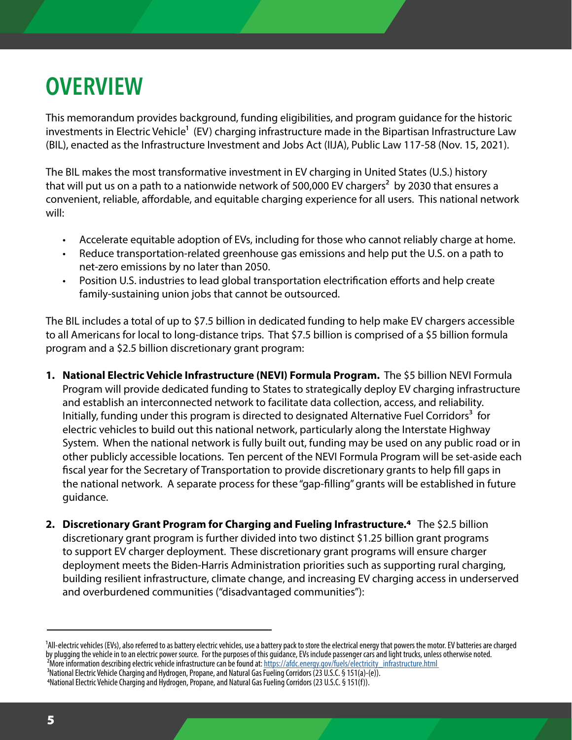## **OVERVIEW**

This memorandum provides background, funding eligibilities, and program guidance for the historic investments in Electric Vehicle<sup>1</sup> (EV) charging infrastructure made in the Bipartisan Infrastructure Law (BIL), enacted as the Infrastructure Investment and Jobs Act (IIJA), Public Law 117-58 (Nov. 15, 2021).

The BIL makes the most transformative investment in EV charging in United States (U.S.) history that will put us on a path to a nationwide network of 500,000 EV chargers<sup>2</sup> by 2030 that ensures a convenient, reliable, affordable, and equitable charging experience for all users. This national network will:

- Accelerate equitable adoption of EVs, including for those who cannot reliably charge at home.
- Reduce transportation-related greenhouse gas emissions and help put the U.S. on a path to net-zero emissions by no later than 2050.
- Position U.S. industries to lead global transportation electrification efforts and help create family-sustaining union jobs that cannot be outsourced.

The BIL includes a total of up to \$7.5 billion in dedicated funding to help make EV chargers accessible to all Americans for local to long-distance trips. That \$7.5 billion is comprised of a \$5 billion formula program and a \$2.5 billion discretionary grant program:

- **1. National Electric Vehicle Infrastructure (NEVI) Formula Program.** The \$5 billion NEVI Formula Program will provide dedicated funding to States to strategically deploy EV charging infrastructure and establish an interconnected network to facilitate data collection, access, and reliability. Initially, funding under this program is directed to designated Alternative Fuel Corridors<sup>3</sup> for electric vehicles to build out this national network, particularly along the Interstate Highway System. When the national network is fully built out, funding may be used on any public road or in other publicly accessible locations. Ten percent of the NEVI Formula Program will be set-aside each fiscal year for the Secretary of Transportation to provide discretionary grants to help fill gaps in the national network. A separate process for these "gap-filling" grants will be established in future guidance.
- **2. Discretionary Grant Program for Charging and Fueling Infrastructure.4** The \$2.5 billion discretionary grant program is further divided into two distinct \$1.25 billion grant programs to support EV charger deployment. These discretionary grant programs will ensure charger deployment meets the Biden-Harris Administration priorities such as supporting rural charging, building resilient infrastructure, climate change, and increasing EV charging access in underserved and overburdened communities ("disadvantaged communities"):

<sup>&</sup>lt;sup>1</sup>All-electric vehicles (EVs), also referred to as battery electric vehicles, use a battery pack to store the electrical energy that powers the motor. EV batteries are charged by plugging the vehicle in to an electric power source. For the purposes of this guidance, EVs include passenger cars and light trucks, unless otherwise noted. <sup>2</sup>More information describing electric vehicle infrastructure can be found at: https://afdc.energy.gov/fuels/electricity\_infrastructure.html <sup>3</sup>National Electric Vehicle Charging and Hydrogen, Propane, and Natural Gas Fueling Corridors (23 U.S.C. § 151(a)-(e)). 4National Electric Vehicle Charging and Hydrogen, Propane, and Natural Gas Fueling Corridors (23 U.S.C. § 151(f)).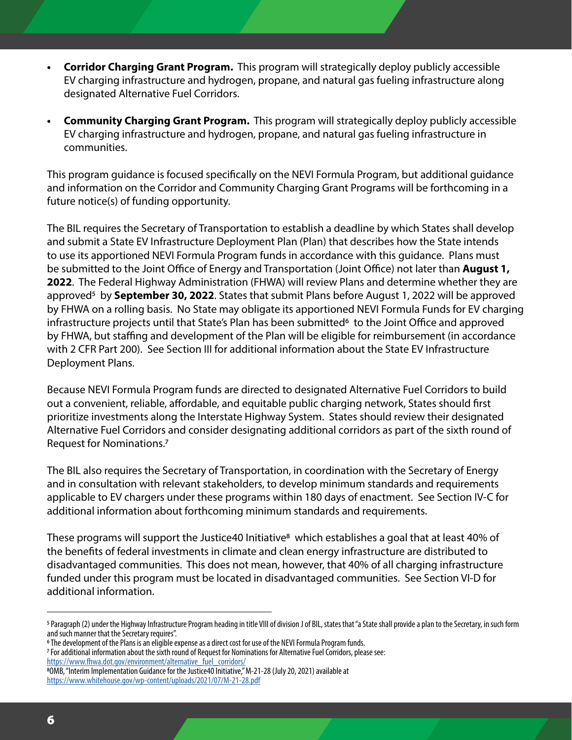- **• Corridor Charging Grant Program.** This program will strategically deploy publicly accessible EV charging infrastructure and hydrogen, propane, and natural gas fueling infrastructure along designated Alternative Fuel Corridors.
- **• Community Charging Grant Program.** This program will strategically deploy publicly accessible EV charging infrastructure and hydrogen, propane, and natural gas fueling infrastructure in communities.

This program guidance is focused specifically on the NEVI Formula Program, but additional guidance and information on the Corridor and Community Charging Grant Programs will be forthcoming in a future notice(s) of funding opportunity.

The BIL requires the Secretary of Transportation to establish a deadline by which States shall develop and submit a State EV Infrastructure Deployment Plan (Plan) that describes how the State intends to use its apportioned NEVI Formula Program funds in accordance with this guidance. Plans must be submitted to the Joint Office of Energy and Transportation (Joint Office) not later than **August 1, 2022**. The Federal Highway Administration (FHWA) will review Plans and determine whether they are approved5 by **September 30, 2022**. States that submit Plans before August 1, 2022 will be approved by FHWA on a rolling basis. No State may obligate its apportioned NEVI Formula Funds for EV charging infrastructure projects until that State's Plan has been submitted<sup>6</sup> to the Joint Office and approved by FHWA, but staffing and development of the Plan will be eligible for reimbursement (in accordance with 2 CFR Part 200). See Section III for additional information about the State EV Infrastructure Deployment Plans.

Because NEVI Formula Program funds are directed to designated Alternative Fuel Corridors to build out a convenient, reliable, affordable, and equitable public charging network, States should first prioritize investments along the Interstate Highway System. States should review their designated Alternative Fuel Corridors and consider designating additional corridors as part of the sixth round of Request for Nominations.7

The BIL also requires the Secretary of Transportation, in coordination with the Secretary of Energy and in consultation with relevant stakeholders, to develop minimum standards and requirements applicable to EV chargers under these programs within 180 days of enactment. See Section IV-C for additional information about forthcoming minimum standards and requirements.

These programs will support the Justice40 Initiative<sup>8</sup> which establishes a goal that at least 40% of the benefits of federal investments in climate and clean energy infrastructure are distributed to disadvantaged communities. This does not mean, however, that 40% of all charging infrastructure funded under this program must be located in disadvantaged communities. See Section VI-D for additional information.

[https://www.fhwa.dot.gov/environment/alternative\\_fuel\\_corridors/](https://www.fhwa.dot.gov/environment/alternative_fuel_corridors/)

<sup>&</sup>lt;sup>5</sup> Paragraph (2) under the Highway Infrastructure Program heading in title VIII of division J of BIL, states that "a State shall provide a plan to the Secretary, in such form and such manner that the Secretary requires".

<sup>&</sup>lt;sup>6</sup> The development of the Plans is an eligible expense as a direct cost for use of the NEVI Formula Program funds.

<sup>7</sup> For additional information about the sixth round of Request for Nominations for Alternative Fuel Corridors, please see:

<sup>8</sup>OMB, "Interim Implementation Guidance for the Justice40 Initiative," M-21-28 (July 20, 2021) available at <https://www.whitehouse.gov/wp-content/uploads/2021/07/M-21-28.pdf>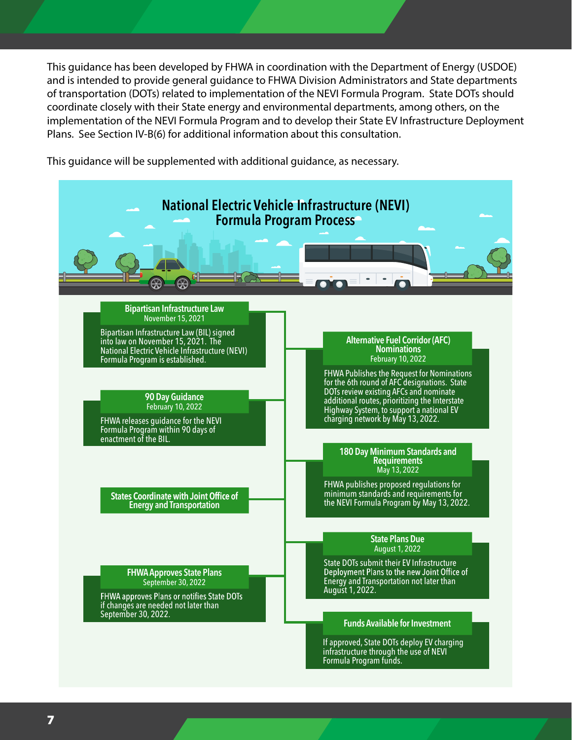This guidance has been developed by FHWA in coordination with the Department of Energy (USDOE) and is intended to provide general guidance to FHWA Division Administrators and State departments of transportation (DOTs) related to implementation of the NEVI Formula Program. State DOTs should coordinate closely with their State energy and environmental departments, among others, on the implementation of the NEVI Formula Program and to develop their State EV Infrastructure Deployment Plans. See Section IV-B(6) for additional information about this consultation.

This guidance will be supplemented with additional guidance, as necessary.

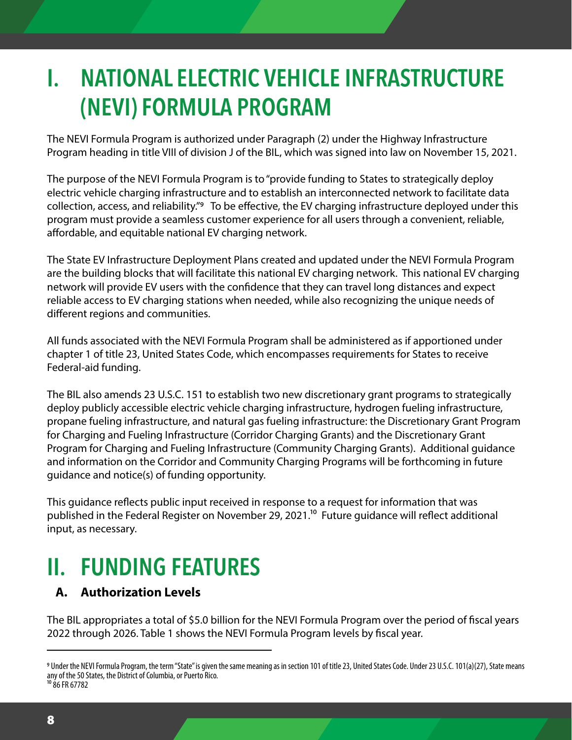## **I. NATIONAL ELECTRIC VEHICLE INFRASTRUCTURE (NEVI) FORMULA PROGRAM**

The NEVI Formula Program is authorized under Paragraph (2) under the Highway Infrastructure Program heading in title VIII of division J of the BIL, which was signed into law on November 15, 2021.

The purpose of the NEVI Formula Program is to "provide funding to States to strategically deploy electric vehicle charging infrastructure and to establish an interconnected network to facilitate data collection, access, and reliability."9 To be effective, the EV charging infrastructure deployed under this program must provide a seamless customer experience for all users through a convenient, reliable, affordable, and equitable national EV charging network.

The State EV Infrastructure Deployment Plans created and updated under the NEVI Formula Program are the building blocks that will facilitate this national EV charging network. This national EV charging network will provide EV users with the confidence that they can travel long distances and expect reliable access to EV charging stations when needed, while also recognizing the unique needs of different regions and communities.

All funds associated with the NEVI Formula Program shall be administered as if apportioned under chapter 1 of title 23, United States Code, which encompasses requirements for States to receive Federal-aid funding.

The BIL also amends 23 U.S.C. 151 to establish two new discretionary grant programs to strategically deploy publicly accessible electric vehicle charging infrastructure, hydrogen fueling infrastructure, propane fueling infrastructure, and natural gas fueling infrastructure: the Discretionary Grant Program for Charging and Fueling Infrastructure (Corridor Charging Grants) and the Discretionary Grant Program for Charging and Fueling Infrastructure (Community Charging Grants). Additional guidance and information on the Corridor and Community Charging Programs will be forthcoming in future guidance and notice(s) of funding opportunity.

This guidance reflects public input received in response to a request for information that was published in the Federal Register on November 29, 2021.<sup>10</sup> Future guidance will reflect additional input, as necessary.

## **II. FUNDING FEATURES**

#### **A. Authorization Levels**

The BIL appropriates a total of \$5.0 billion for the NEVI Formula Program over the period of fiscal years 2022 through 2026. Table 1 shows the NEVI Formula Program levels by fiscal year.

<sup>10</sup> 86 FR 67782

<sup>9</sup> Under the NEVI Formula Program, the term "State" is given the same meaning as in section 101 of title 23, United States Code. Under 23 U.S.C. 101(a)(27), State means any of the 50 States, the District of Columbia, or Puerto Rico.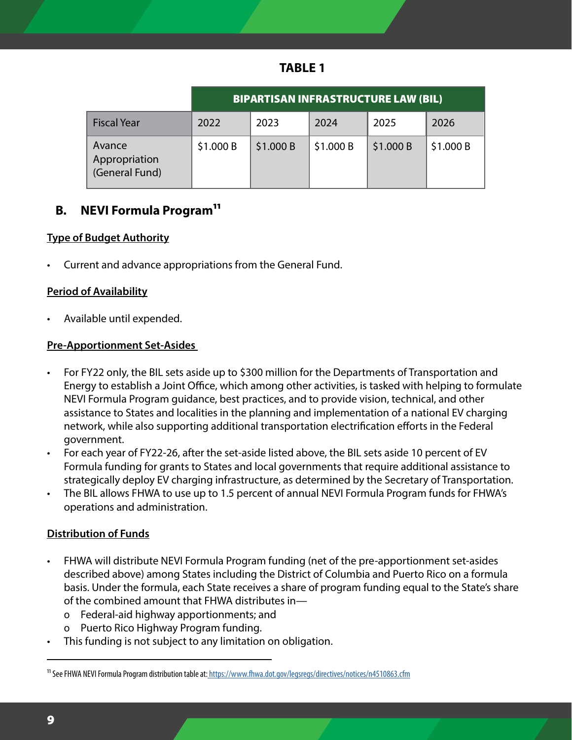| ١.<br>ı<br>r.<br>w |  |
|--------------------|--|
|--------------------|--|

|                                           | <b>BIPARTISAN INFRASTRUCTURE LAW (BIL)</b> |          |          |          |           |  |
|-------------------------------------------|--------------------------------------------|----------|----------|----------|-----------|--|
| <b>Fiscal Year</b>                        | 2022                                       | 2023     | 2024     | 2025     | 2026      |  |
| Avance<br>Appropriation<br>(General Fund) | \$1.000B                                   | \$1.000B | \$1.000B | \$1.000B | \$1.000 B |  |

#### **B.** NEVI Formula Program<sup>11</sup>

#### **Type of Budget Authority**

• Current and advance appropriations from the General Fund.

#### **Period of Availability**

• Available until expended.

#### **Pre-Apportionment Set-Asides**

- For FY22 only, the BIL sets aside up to \$300 million for the Departments of Transportation and Energy to establish a Joint Office, which among other activities, is tasked with helping to formulate NEVI Formula Program guidance, best practices, and to provide vision, technical, and other assistance to States and localities in the planning and implementation of a national EV charging network, while also supporting additional transportation electrification efforts in the Federal government.
- For each year of FY22-26, after the set-aside listed above, the BIL sets aside 10 percent of EV Formula funding for grants to States and local governments that require additional assistance to strategically deploy EV charging infrastructure, as determined by the Secretary of Transportation.
- The BIL allows FHWA to use up to 1.5 percent of annual NEVI Formula Program funds for FHWA's operations and administration.

#### **Distribution of Funds**

- FHWA will distribute NEVI Formula Program funding (net of the pre-apportionment set-asides described above) among States including the District of Columbia and Puerto Rico on a formula basis. Under the formula, each State receives a share of program funding equal to the State's share of the combined amount that FHWA distributes in
	- o Federal-aid highway apportionments; and
	- o Puerto Rico Highway Program funding.
- This funding is not subject to any limitation on obligation.

<sup>&</sup>lt;sup>11</sup> See FHWA NEVI Formula Program distribution table at[: https://www.fhwa.dot.gov/legsregs/directives/notices/n4510863.cfm]( https://www.fhwa.dot.gov/legsregs/directives/notices/n4510863.cfm)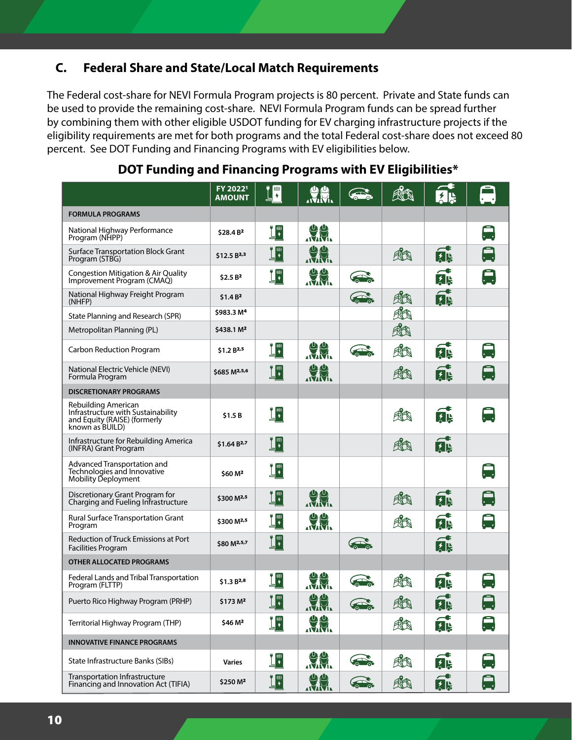#### **C. Federal Share and State/Local Match Requirements**

The Federal cost-share for NEVI Formula Program projects is 80 percent. Private and State funds can be used to provide the remaining cost-share. NEVI Formula Program funds can be spread further by combining them with other eligible USDOT funding for EV charging infrastructure projects if the eligibility requirements are met for both programs and the total Federal cost-share does not exceed 80 percent. See DOT Funding and Financing Programs with EV eligibilities below.

|                                                                                                              | FY 20221<br><b>AMOUNT</b> | 回                         |                   |                       | A   | 孔                              |                |
|--------------------------------------------------------------------------------------------------------------|---------------------------|---------------------------|-------------------|-----------------------|-----|--------------------------------|----------------|
| <b>FORMULA PROGRAMS</b>                                                                                      |                           |                           |                   |                       |     |                                |                |
| National Highway Performance<br>Program (NHPP)                                                               | \$28.4 B <sup>2</sup>     | $\mathbf{T}^{\mathbf{m}}$ | <b>UU</b>         |                       |     |                                |                |
| <b>Surface Transportation Block Grant</b><br>Program (STBG)                                                  | \$12.5 B <sub>2,3</sub>   | ∐™                        | JU.               |                       | RK  | f.                             |                |
| Congestion Mitigation & Air Quality<br>Improvement Program (CMAQ)                                            | \$2.5B <sup>2</sup>       | ÿ®                        | <b>URBIT</b>      |                       |     | <b>AR</b>                      |                |
| National Highway Freight Program<br>(NHFP)                                                                   | \$1.4B <sup>2</sup>       |                           |                   |                       | Rt  | 内以                             |                |
| State Planning and Research (SPR)                                                                            | \$983.3 M <sup>4</sup>    |                           |                   |                       | Rit |                                |                |
| Metropolitan Planning (PL)                                                                                   | \$438.1 M <sup>2</sup>    |                           |                   |                       | KK  |                                |                |
| Carbon Reduction Program                                                                                     | \$1.2 B <sup>2,5</sup>    | ין<br>י                   | <b>UHA</b>        |                       | RK  | <b>far</b>                     |                |
| National Electric Vehicle (NEVI)<br>Formula Program                                                          | \$685 M <sup>2,5,6</sup>  | ∐™                        | <b>ULL</b>        |                       | Rt  | <b>far</b>                     |                |
| <b>DISCRETIONARY PROGRAMS</b>                                                                                |                           |                           |                   |                       |     |                                |                |
| Rebuilding American<br>Infrastructure with Sustainability<br>and Equity (RAISE) (formerly<br>known as BUILD) | \$1.5B                    | ין<br>י                   |                   |                       | KK  | $\overline{\phantom{a}}$<br>医隐 |                |
| Infrastructure for Rebuilding America<br>(INFRA) Grant Program                                               | \$1.64 B <sup>2,7</sup>   | $\mathbf{u}$              |                   |                       | 成   | <b>fak</b>                     |                |
| Advanced Transportation and<br>Technologies and Innovative<br>Mobility Deployment                            | \$60 M <sup>2</sup>       | <u>׀</u> ֟֟׀֦֖            |                   |                       |     |                                | $\blacksquare$ |
| Discretionary Grant Program for<br>Charging and Fueling Infrastructure                                       | \$300 M <sup>2,5</sup>    | ׀׀֖׀֖֖֖                   | JU.               |                       | 成   | <b>fak</b>                     |                |
| <b>Rural Surface Transportation Grant</b><br>Program                                                         | \$300 M <sup>2,5</sup>    | <u>ין</u>                 | JU.               |                       | KK  | 网络                             |                |
| <b>Reduction of Truck Emissions at Port</b><br><b>Facilities Program</b>                                     | \$80 M <sup>2,5,7</sup>   | ∐™<br>⊥                   |                   | $\sum_{n=0}^{\infty}$ |     | 内以                             |                |
| <b>OTHER ALLOCATED PROGRAMS</b>                                                                              |                           |                           |                   |                       |     |                                |                |
| Federal Lands and Tribal Transportation<br>Program (FLTTP)                                                   | $$1.3B^{2,8}$$            | ▌                         |                   |                       |     | 内以                             |                |
| Puerto Rico Highway Program (PRHP)                                                                           | \$173 M <sup>2</sup>      | $\bullet$ m<br>$\Box$     | 小小<br><b>IMM.</b> | $\sum_{i=1}^{n}$      | 和   | ŧ<br>以除                        | -<br>$\cdot$ . |
| Territorial Highway Program (THP)                                                                            | \$46 M <sup>2</sup>       | ׀֤֟֟ <sup>֟</sup> ׀֦      | <b>URL</b>        |                       | RK  | 网络                             |                |
| <b>INNOVATIVE FINANCE PROGRAMS</b>                                                                           |                           |                           |                   |                       |     |                                |                |
| State Infrastructure Banks (SIBs)                                                                            | <b>Varies</b>             | <u>ין</u>                 | <b>ULLER</b>      |                       | 舱   | 以降                             |                |
| Transportation Infrastructure<br>Financing and Innovation Act (TIFIA)                                        | \$250 M <sup>2</sup>      | ׀֟֟֟ <sup>י</sup> ∐       | <b>U.V.</b>       | $\sum_{i=1}^{n}$      | KK  | 内以                             |                |

This table is limited to all  $F_{\rm eff}$  2022. Unobligated balances of funds made available in prior scale  $\mu$ available for FY eligibilities. For FY eligibilities, see Federal Funding is  $A$ vailable For Electric Charging is  $A$ 

#### **DOT Funding and Financing Programs with EV Eligibilities\***

Note: Total (in millions and billions, rounded to one decimal place)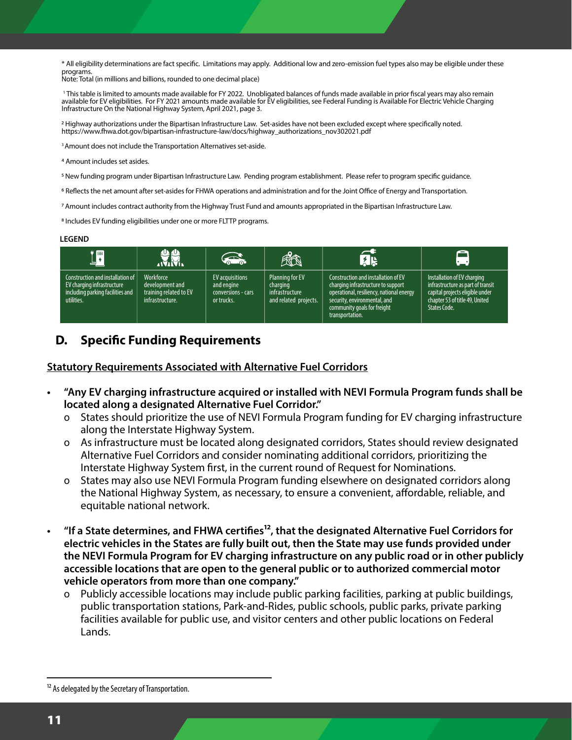\* All eligibility determinations are fact specific. Limitations may apply. Additional low and zero-emission fuel types also may be eligible under these programs.

Note: Total (in millions and billions, rounded to one decimal place)

' This table is limited to amounts made available for FY 2022. Unobligated balances of funds made available in prior fiscal years may also remain available for EV eligibilities. For FY 2021 amounts made available for EV eligibilities, see Federal Funding is Available For Electric Vehicle Charging Infrastructure On the National Highway System, April 2021, page 3.

<sup>2</sup> Highway authorizations under the Bipartisan Infrastructure Law. Set-asides have not been excluded except where specifically noted. https://www.fhwa.dot.gov/bipartisan-infrastructure-law/docs/highway\_authorizations\_nov302021.pdf

<sup>3</sup> Amount does not include the Transportation Alternatives set-aside.

4 Amount includes set asides.

Transportation Infrastructure

<sup>5</sup> New funding program under Bipartisan Infrastructure Law. Pending program establishment. Please refer to program specific guidance.

<sup>6</sup> Reflects the net amount after set-asides for FHWA operations and administration and for the Joint Office of Energy and Transportation.

7 Amount includes contract authority from the Highway Trust Fund and amounts appropriated in the Bipartisan Infrastructure Law.

8 Includes EV funding eligibilities under one or more FLTTP programs.

#### **LEGEND**

| <b>In</b>                                                                                                        | U.M.                                                                      | <b>REAL</b>                                                              | KK                                                                     | 以い                                                                                                                                                                                                      | $\left\lfloor \cdot \right\rfloor$                                                                                                                           |
|------------------------------------------------------------------------------------------------------------------|---------------------------------------------------------------------------|--------------------------------------------------------------------------|------------------------------------------------------------------------|---------------------------------------------------------------------------------------------------------------------------------------------------------------------------------------------------------|--------------------------------------------------------------------------------------------------------------------------------------------------------------|
| Construction and installation of<br>EV charging infrastructure<br>including parking facilities and<br>utilities. | Workforce<br>development and<br>training related to EV<br>infrastructure. | <b>EV</b> acquisitions<br>and engine<br>conversions - cars<br>or trucks. | Planning for EV<br>charging<br>infrastructure<br>and related projects. | Construction and installation of EV<br>charging infrastructure to support<br>operational, resiliency, national energy<br>security, environmental, and<br>community goals for freight<br>transportation. | Installation of EV charging<br>infrastructure as part of transit<br>capital projects eligible under<br>chapter 53 of title 49, United<br><b>States Code.</b> |

#### **D. Specific Funding Requirements**

#### **Statutory Requirements Associated with Alternative Fuel Corridors**

- **• "Any EV charging infrastructure acquired or installed with NEVI Formula Program funds shall be located along a designated Alternative Fuel Corridor."** 
	- o States should prioritize the use of NEVI Formula Program funding for EV charging infrastructure along the Interstate Highway System.
	- o As infrastructure must be located along designated corridors, States should review designated Alternative Fuel Corridors and consider nominating additional corridors, prioritizing the Interstate Highway System first, in the current round of Request for Nominations.
	- o States may also use NEVI Formula Program funding elsewhere on designated corridors along the National Highway System, as necessary, to ensure a convenient, affordable, reliable, and equitable national network.
- <sup>*•*</sup>If a State determines, and FHWA certifies<sup>12</sup>, that the designated Alternative Fuel Corridors for **electric vehicles in the States are fully built out, then the State may use funds provided under the NEVI Formula Program for EV charging infrastructure on any public road or in other publicly accessible locations that are open to the general public or to authorized commercial motor vehicle operators from more than one company."** 
	- Publicly accessible locations may include public parking facilities, parking at public buildings, public transportation stations, Park-and-Rides, public schools, public parks, private parking facilities available for public use, and visitor centers and other public locations on Federal Lands.

<sup>&</sup>lt;sup>12</sup> As delegated by the Secretary of Transportation.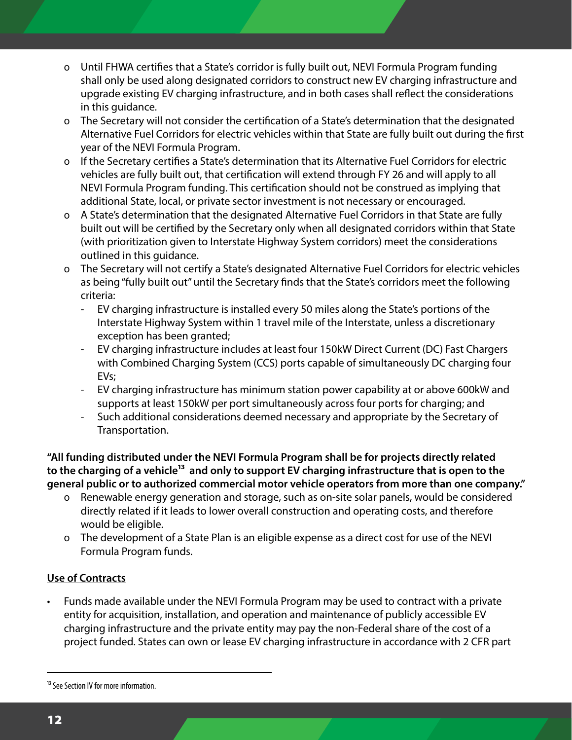- o Until FHWA certifies that a State's corridor is fully built out, NEVI Formula Program funding shall only be used along designated corridors to construct new EV charging infrastructure and upgrade existing EV charging infrastructure, and in both cases shall reflect the considerations in this guidance.
- o The Secretary will not consider the certification of a State's determination that the designated Alternative Fuel Corridors for electric vehicles within that State are fully built out during the first year of the NEVI Formula Program.
- o If the Secretary certifies a State's determination that its Alternative Fuel Corridors for electric vehicles are fully built out, that certification will extend through FY 26 and will apply to all NEVI Formula Program funding. This certification should not be construed as implying that additional State, local, or private sector investment is not necessary or encouraged.
- o A State's determination that the designated Alternative Fuel Corridors in that State are fully built out will be certified by the Secretary only when all designated corridors within that State (with prioritization given to Interstate Highway System corridors) meet the considerations outlined in this guidance.
- o The Secretary will not certify a State's designated Alternative Fuel Corridors for electric vehicles as being "fully built out" until the Secretary finds that the State's corridors meet the following criteria:
	- EV charging infrastructure is installed every 50 miles along the State's portions of the Interstate Highway System within 1 travel mile of the Interstate, unless a discretionary exception has been granted;
	- EV charging infrastructure includes at least four 150kW Direct Current (DC) Fast Chargers with Combined Charging System (CCS) ports capable of simultaneously DC charging four EVs;
	- EV charging infrastructure has minimum station power capability at or above 600kW and supports at least 150kW per port simultaneously across four ports for charging; and
	- Such additional considerations deemed necessary and appropriate by the Secretary of Transportation.

**"All funding distributed under the NEVI Formula Program shall be for projects directly related**  to the charging of a vehicle<sup>13</sup> and only to support EV charging infrastructure that is open to the **general public or to authorized commercial motor vehicle operators from more than one company."** 

- o Renewable energy generation and storage, such as on-site solar panels, would be considered directly related if it leads to lower overall construction and operating costs, and therefore would be eligible.
- o The development of a State Plan is an eligible expense as a direct cost for use of the NEVI Formula Program funds.

#### **Use of Contracts**

• Funds made available under the NEVI Formula Program may be used to contract with a private entity for acquisition, installation, and operation and maintenance of publicly accessible EV charging infrastructure and the private entity may pay the non-Federal share of the cost of a project funded. States can own or lease EV charging infrastructure in accordance with 2 CFR part

<sup>&</sup>lt;sup>13</sup> See Section IV for more information.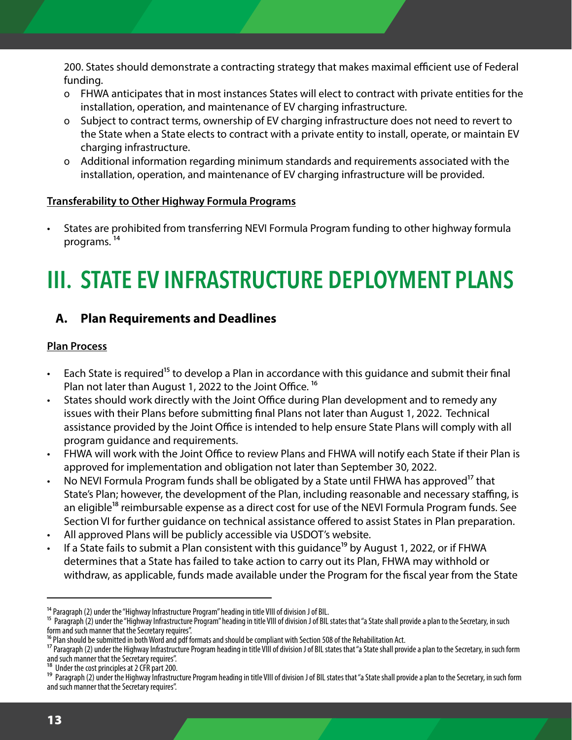200. States should demonstrate a contracting strategy that makes maximal efficient use of Federal funding.

- o FHWA anticipates that in most instances States will elect to contract with private entities for the installation, operation, and maintenance of EV charging infrastructure.
- o Subject to contract terms, ownership of EV charging infrastructure does not need to revert to the State when a State elects to contract with a private entity to install, operate, or maintain EV charging infrastructure.
- o Additional information regarding minimum standards and requirements associated with the installation, operation, and maintenance of EV charging infrastructure will be provided.

#### **Transferability to Other Highway Formula Programs**

• States are prohibited from transferring NEVI Formula Program funding to other highway formula programs. 14

## **III. STATE EV INFRASTRUCTURE DEPLOYMENT PLANS**

#### **A. Plan Requirements and Deadlines**

#### **Plan Process**

- Each State is required<sup>15</sup> to develop a Plan in accordance with this guidance and submit their final Plan not later than August 1, 2022 to the Joint Office.<sup>16</sup>
- States should work directly with the Joint Office during Plan development and to remedy any issues with their Plans before submitting final Plans not later than August 1, 2022. Technical assistance provided by the Joint Office is intended to help ensure State Plans will comply with all program guidance and requirements.
- FHWA will work with the Joint Office to review Plans and FHWA will notify each State if their Plan is approved for implementation and obligation not later than September 30, 2022.
- No NEVI Formula Program funds shall be obligated by a State until FHWA has approved<sup>17</sup> that State's Plan; however, the development of the Plan, including reasonable and necessary staffing, is an eligible<sup>18</sup> reimbursable expense as a direct cost for use of the NEVI Formula Program funds. See Section VI for further guidance on technical assistance offered to assist States in Plan preparation.
- All approved Plans will be publicly accessible via USDOT's website.
- If a State fails to submit a Plan consistent with this guidance<sup>19</sup> by August 1, 2022, or if FHWA determines that a State has failed to take action to carry out its Plan, FHWA may withhold or withdraw, as applicable, funds made available under the Program for the fiscal year from the State

<sup>&</sup>lt;sup>14</sup> Paragraph (2) under the "Highway Infrastructure Program" heading in title VIII of division J of BIL.

<sup>15</sup> Paragraph (2) under the "Highway Infrastructure Program" heading in title VIII of division J of BIL states that "a State shall provide a plan to the Secretary, in such form and such manner that the Secretary requires".

<sup>&</sup>lt;sup>16</sup> Plan should be submitted in both Word and pdf formats and should be compliant with Section 508 of the Rehabilitation Act.

<sup>&</sup>lt;sup>17</sup> Paragraph (2) under the Highway Infrastructure Program heading in title VIII of division J of BIL states that "a State shall provide a plan to the Secretary, in such form and such manner that the Secretary requires".

Under the cost principles at 2 CFR part 200.

<sup>&</sup>lt;sup>19</sup> Paragraph (2) under the Highway Infrastructure Program heading in title VIII of division J of BIL states that "a State shall provide a plan to the Secretary, in such form and such manner that the Secretary requires".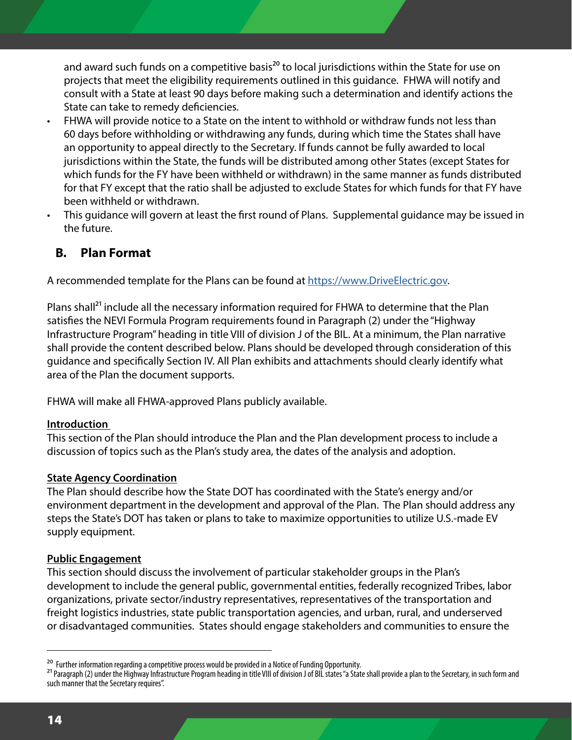and award such funds on a competitive basis<sup>20</sup> to local jurisdictions within the State for use on projects that meet the eligibility requirements outlined in this guidance. FHWA will notify and consult with a State at least 90 days before making such a determination and identify actions the State can take to remedy deficiencies.

- FHWA will provide notice to a State on the intent to withhold or withdraw funds not less than 60 days before withholding or withdrawing any funds, during which time the States shall have an opportunity to appeal directly to the Secretary. If funds cannot be fully awarded to local jurisdictions within the State, the funds will be distributed among other States (except States for which funds for the FY have been withheld or withdrawn) in the same manner as funds distributed for that FY except that the ratio shall be adjusted to exclude States for which funds for that FY have been withheld or withdrawn.
- This guidance will govern at least the first round of Plans. Supplemental guidance may be issued in the future.

#### **B. Plan Format**

A recommended template for the Plans can be found at [https://www.DriveElectric.gov.](https://www.DriveElectric.gov)

Plans shall<sup>21</sup> include all the necessary information required for FHWA to determine that the Plan satisfies the NEVI Formula Program requirements found in Paragraph (2) under the "Highway Infrastructure Program" heading in title VIII of division J of the BIL. At a minimum, the Plan narrative shall provide the content described below. Plans should be developed through consideration of this guidance and specifically Section IV. All Plan exhibits and attachments should clearly identify what area of the Plan the document supports.

FHWA will make all FHWA-approved Plans publicly available.

#### **Introduction**

This section of the Plan should introduce the Plan and the Plan development process to include a discussion of topics such as the Plan's study area, the dates of the analysis and adoption.

#### **State Agency Coordination**

The Plan should describe how the State DOT has coordinated with the State's energy and/or environment department in the development and approval of the Plan. The Plan should address any steps the State's DOT has taken or plans to take to maximize opportunities to utilize U.S.-made EV supply equipment.

#### **Public Engagement**

This section should discuss the involvement of particular stakeholder groups in the Plan's development to include the general public, governmental entities, federally recognized Tribes, labor organizations, private sector/industry representatives, representatives of the transportation and freight logistics industries, state public transportation agencies, and urban, rural, and underserved or disadvantaged communities. States should engage stakeholders and communities to ensure the

<sup>&</sup>lt;sup>20</sup> Further information regarding a competitive process would be provided in a Notice of Funding Opportunity.

<sup>&</sup>lt;sup>21</sup> Paragraph (2) under the Highway Infrastructure Program heading in title VIII of division J of BIL states "a State shall provide a plan to the Secretary, in such form and such manner that the Secretary requires".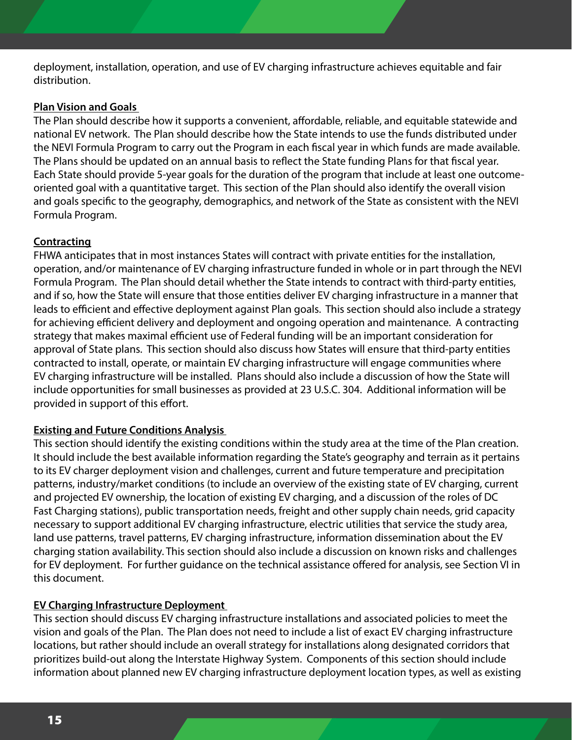deployment, installation, operation, and use of EV charging infrastructure achieves equitable and fair distribution.

#### **Plan Vision and Goals**

The Plan should describe how it supports a convenient, affordable, reliable, and equitable statewide and national EV network. The Plan should describe how the State intends to use the funds distributed under the NEVI Formula Program to carry out the Program in each fiscal year in which funds are made available. The Plans should be updated on an annual basis to reflect the State funding Plans for that fiscal year. Each State should provide 5-year goals for the duration of the program that include at least one outcomeoriented goal with a quantitative target. This section of the Plan should also identify the overall vision and goals specific to the geography, demographics, and network of the State as consistent with the NEVI Formula Program.

#### **Contracting**

FHWA anticipates that in most instances States will contract with private entities for the installation, operation, and/or maintenance of EV charging infrastructure funded in whole or in part through the NEVI Formula Program. The Plan should detail whether the State intends to contract with third-party entities, and if so, how the State will ensure that those entities deliver EV charging infrastructure in a manner that leads to efficient and effective deployment against Plan goals. This section should also include a strategy for achieving efficient delivery and deployment and ongoing operation and maintenance. A contracting strategy that makes maximal efficient use of Federal funding will be an important consideration for approval of State plans. This section should also discuss how States will ensure that third-party entities contracted to install, operate, or maintain EV charging infrastructure will engage communities where EV charging infrastructure will be installed. Plans should also include a discussion of how the State will include opportunities for small businesses as provided at 23 U.S.C. 304. Additional information will be provided in support of this effort.

#### **Existing and Future Conditions Analysis**

This section should identify the existing conditions within the study area at the time of the Plan creation. It should include the best available information regarding the State's geography and terrain as it pertains to its EV charger deployment vision and challenges, current and future temperature and precipitation patterns, industry/market conditions (to include an overview of the existing state of EV charging, current and projected EV ownership, the location of existing EV charging, and a discussion of the roles of DC Fast Charging stations), public transportation needs, freight and other supply chain needs, grid capacity necessary to support additional EV charging infrastructure, electric utilities that service the study area, land use patterns, travel patterns, EV charging infrastructure, information dissemination about the EV charging station availability. This section should also include a discussion on known risks and challenges for EV deployment. For further guidance on the technical assistance offered for analysis, see Section VI in this document.

#### **EV Charging Infrastructure Deployment**

This section should discuss EV charging infrastructure installations and associated policies to meet the vision and goals of the Plan. The Plan does not need to include a list of exact EV charging infrastructure locations, but rather should include an overall strategy for installations along designated corridors that prioritizes build-out along the Interstate Highway System. Components of this section should include information about planned new EV charging infrastructure deployment location types, as well as existing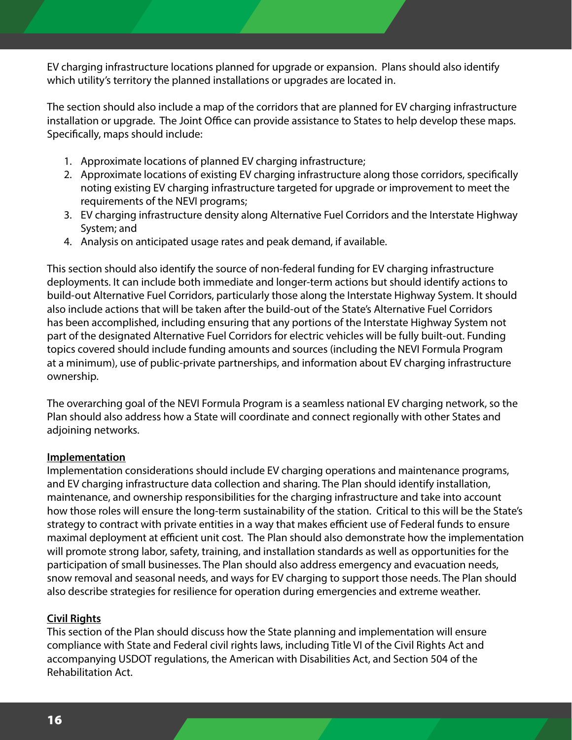EV charging infrastructure locations planned for upgrade or expansion. Plans should also identify which utility's territory the planned installations or upgrades are located in.

The section should also include a map of the corridors that are planned for EV charging infrastructure installation or upgrade. The Joint Office can provide assistance to States to help develop these maps. Specifically, maps should include:

- 1. Approximate locations of planned EV charging infrastructure;
- 2. Approximate locations of existing EV charging infrastructure along those corridors, specifically noting existing EV charging infrastructure targeted for upgrade or improvement to meet the requirements of the NEVI programs;
- 3. EV charging infrastructure density along Alternative Fuel Corridors and the Interstate Highway System; and
- 4. Analysis on anticipated usage rates and peak demand, if available.

This section should also identify the source of non-federal funding for EV charging infrastructure deployments. It can include both immediate and longer-term actions but should identify actions to build-out Alternative Fuel Corridors, particularly those along the Interstate Highway System. It should also include actions that will be taken after the build-out of the State's Alternative Fuel Corridors has been accomplished, including ensuring that any portions of the Interstate Highway System not part of the designated Alternative Fuel Corridors for electric vehicles will be fully built-out. Funding topics covered should include funding amounts and sources (including the NEVI Formula Program at a minimum), use of public-private partnerships, and information about EV charging infrastructure ownership.

The overarching goal of the NEVI Formula Program is a seamless national EV charging network, so the Plan should also address how a State will coordinate and connect regionally with other States and adjoining networks.

#### **Implementation**

Implementation considerations should include EV charging operations and maintenance programs, and EV charging infrastructure data collection and sharing. The Plan should identify installation, maintenance, and ownership responsibilities for the charging infrastructure and take into account how those roles will ensure the long-term sustainability of the station. Critical to this will be the State's strategy to contract with private entities in a way that makes efficient use of Federal funds to ensure maximal deployment at efficient unit cost. The Plan should also demonstrate how the implementation will promote strong labor, safety, training, and installation standards as well as opportunities for the participation of small businesses. The Plan should also address emergency and evacuation needs, snow removal and seasonal needs, and ways for EV charging to support those needs. The Plan should also describe strategies for resilience for operation during emergencies and extreme weather.

#### **Civil Rights**

This section of the Plan should discuss how the State planning and implementation will ensure compliance with State and Federal civil rights laws, including Title VI of the Civil Rights Act and accompanying USDOT regulations, the American with Disabilities Act, and Section 504 of the Rehabilitation Act.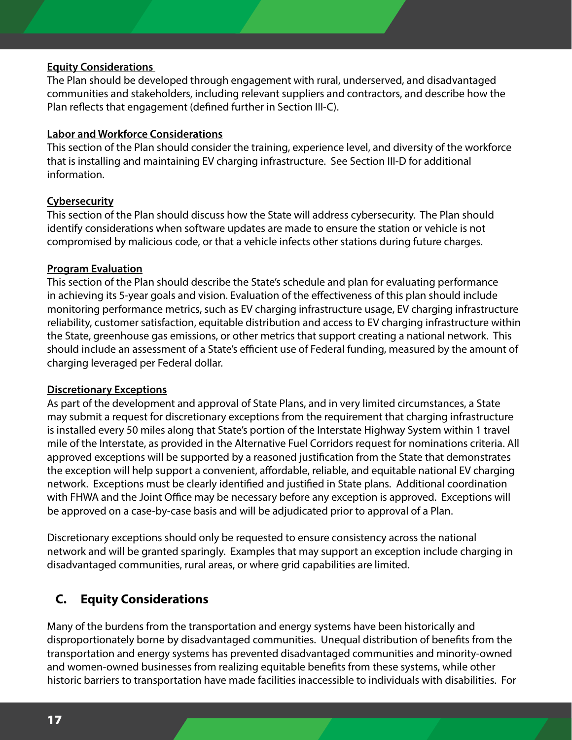#### **Equity Considerations**

The Plan should be developed through engagement with rural, underserved, and disadvantaged communities and stakeholders, including relevant suppliers and contractors, and describe how the Plan reflects that engagement (defined further in Section III-C).

#### **Labor and Workforce Considerations**

This section of the Plan should consider the training, experience level, and diversity of the workforce that is installing and maintaining EV charging infrastructure. See Section III-D for additional information.

#### **Cybersecurity**

This section of the Plan should discuss how the State will address cybersecurity. The Plan should identify considerations when software updates are made to ensure the station or vehicle is not compromised by malicious code, or that a vehicle infects other stations during future charges.

#### **Program Evaluation**

This section of the Plan should describe the State's schedule and plan for evaluating performance in achieving its 5-year goals and vision. Evaluation of the effectiveness of this plan should include monitoring performance metrics, such as EV charging infrastructure usage, EV charging infrastructure reliability, customer satisfaction, equitable distribution and access to EV charging infrastructure within the State, greenhouse gas emissions, or other metrics that support creating a national network. This should include an assessment of a State's efficient use of Federal funding, measured by the amount of charging leveraged per Federal dollar.

#### **Discretionary Exceptions**

As part of the development and approval of State Plans, and in very limited circumstances, a State may submit a request for discretionary exceptions from the requirement that charging infrastructure is installed every 50 miles along that State's portion of the Interstate Highway System within 1 travel mile of the Interstate, as provided in the Alternative Fuel Corridors request for nominations criteria. All approved exceptions will be supported by a reasoned justification from the State that demonstrates the exception will help support a convenient, affordable, reliable, and equitable national EV charging network. Exceptions must be clearly identified and justified in State plans. Additional coordination with FHWA and the Joint Office may be necessary before any exception is approved. Exceptions will be approved on a case-by-case basis and will be adjudicated prior to approval of a Plan.

Discretionary exceptions should only be requested to ensure consistency across the national network and will be granted sparingly. Examples that may support an exception include charging in disadvantaged communities, rural areas, or where grid capabilities are limited.

#### **C. Equity Considerations**

Many of the burdens from the transportation and energy systems have been historically and disproportionately borne by disadvantaged communities. Unequal distribution of benefits from the transportation and energy systems has prevented disadvantaged communities and minority-owned and women-owned businesses from realizing equitable benefits from these systems, while other historic barriers to transportation have made facilities inaccessible to individuals with disabilities. For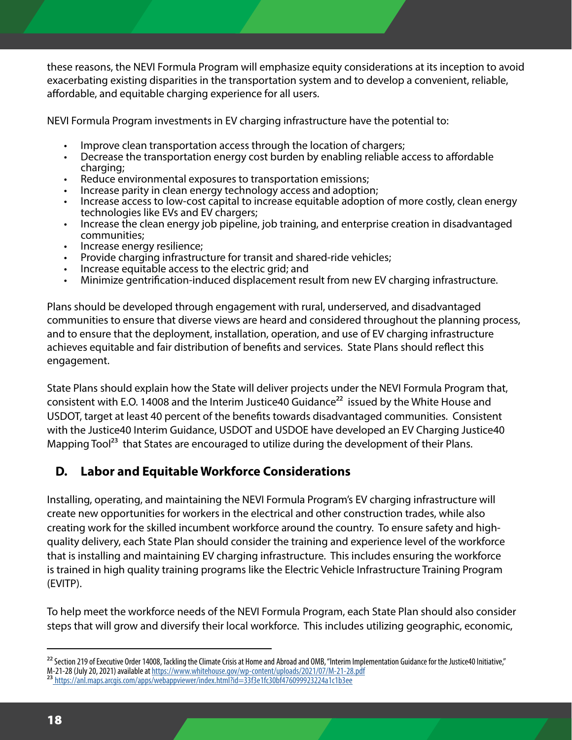these reasons, the NEVI Formula Program will emphasize equity considerations at its inception to avoid exacerbating existing disparities in the transportation system and to develop a convenient, reliable, affordable, and equitable charging experience for all users.

NEVI Formula Program investments in EV charging infrastructure have the potential to:

- 
- Improve clean transportation access through the location of chargers;<br>Decrease the transportation energy cost burden by enabling reliable access to affordable
- 
- 
- charging;<br>Reduce environmental exposures to transportation emissions;<br>Increase parity in clean energy technology access and adoption;<br>Increase access to low-cost capital to increase equitable adoption of more costly, clean
- Increase the clean energy job pipeline, job training, and enterprise creation in disadvantaged
- 
- communities;<br>
Increase energy resilience;<br>
Provide charging infrastructure for transit and shared-ride vehicles;<br>
Increase equitable access to the electric grid; and
- 
- Minimize gentrification-induced displacement result from new EV charging infrastructure.

Plans should be developed through engagement with rural, underserved, and disadvantaged communities to ensure that diverse views are heard and considered throughout the planning process, and to ensure that the deployment, installation, operation, and use of EV charging infrastructure achieves equitable and fair distribution of benefits and services. State Plans should reflect this engagement.

State Plans should explain how the State will deliver projects under the NEVI Formula Program that, consistent with E.O. 14008 and the Interim Justice40 Guidance<sup>22</sup> issued by the White House and USDOT, target at least 40 percent of the benefits towards disadvantaged communities. Consistent with the Justice40 Interim Guidance, USDOT and USDOE have developed an EV Charging Justice40 Mapping Tool<sup>23</sup> that States are encouraged to utilize during the development of their Plans.

#### **D. Labor and Equitable Workforce Considerations**

Installing, operating, and maintaining the NEVI Formula Program's EV charging infrastructure will create new opportunities for workers in the electrical and other construction trades, while also creating work for the skilled incumbent workforce around the country. To ensure safety and highquality delivery, each State Plan should consider the training and experience level of the workforce that is installing and maintaining EV charging infrastructure. This includes ensuring the workforce is trained in high quality training programs like the Electric Vehicle Infrastructure Training Program (EVITP).

To help meet the workforce needs of the NEVI Formula Program, each State Plan should also consider steps that will grow and diversify their local workforce. This includes utilizing geographic, economic,

<sup>&</sup>lt;sup>22</sup> Section 219 of Executive Order 14008, Tackling the Climate Crisis at Home and Abroad and OMB, "Interim Implementation Guidance for the Justice40 Initiative," M-21-28 (July 20, 2021) available at <https://www.whitehouse.gov/wp-content/uploads/2021/07/M-21-28.pdf>

<sup>23</sup> [https://anl.maps.arcgis.com/apps/webappviewer/index.html?id=33f3e1fc30bf476099923224a1c1b3ee]( https://anl.maps.arcgis.com/apps/webappviewer/index.html?id=33f3e1fc30bf476099923224a1c1b3ee)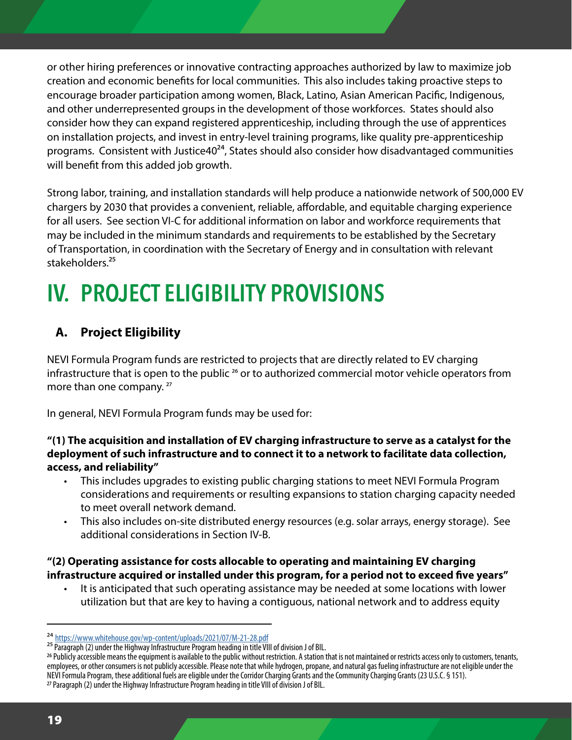or other hiring preferences or innovative contracting approaches authorized by law to maximize job creation and economic benefits for local communities. This also includes taking proactive steps to encourage broader participation among women, Black, Latino, Asian American Pacific, Indigenous, and other underrepresented groups in the development of those workforces. States should also consider how they can expand registered apprenticeship, including through the use of apprentices on installation projects, and invest in entry-level training programs, like quality pre-apprenticeship programs. Consistent with Justice 40<sup>24</sup>, States should also consider how disadvantaged communities will benefit from this added job growth.

Strong labor, training, and installation standards will help produce a nationwide network of 500,000 EV chargers by 2030 that provides a convenient, reliable, affordable, and equitable charging experience for all users. See section VI-C for additional information on labor and workforce requirements that may be included in the minimum standards and requirements to be established by the Secretary of Transportation, in coordination with the Secretary of Energy and in consultation with relevant stakeholders.<sup>25</sup>

## **IV. PROJECT ELIGIBILITY PROVISIONS**

#### **A. Project Eligibility**

NEVI Formula Program funds are restricted to projects that are directly related to EV charging infrastructure that is open to the public<sup>26</sup> or to authorized commercial motor vehicle operators from more than one company.<sup>27</sup>

In general, NEVI Formula Program funds may be used for:

#### **"(1) The acquisition and installation of EV charging infrastructure to serve as a catalyst for the deployment of such infrastructure and to connect it to a network to facilitate data collection, access, and reliability"**

- This includes upgrades to existing public charging stations to meet NEVI Formula Program considerations and requirements or resulting expansions to station charging capacity needed to meet overall network demand.
- This also includes on-site distributed energy resources (e.g. solar arrays, energy storage). See additional considerations in Section IV-B.

#### **"(2) Operating assistance for costs allocable to operating and maintaining EV charging infrastructure acquired or installed under this program, for a period not to exceed five years"**

• It is anticipated that such operating assistance may be needed at some locations with lower utilization but that are key to having a contiguous, national network and to address equity

<sup>24</sup> <https://www.whitehouse.gov/wp-content/uploads/2021/07/M-21-28.pdf>

<sup>25</sup> Paragraph (2) under the Highway Infrastructure Program heading in title VIII of division J of BIL.

<sup>26</sup> Publicly accessible means the equipment is available to the public without restriction. A station that is not maintained or restricts access only to customers, tenants, employees, or other consumers is not publicly accessible. Please note that while hydrogen, propane, and natural gas fueling infrastructure are not eligible under the NEVI Formula Program, these additional fuels are eligible under the Corridor Charging Grants and the Community Charging Grants (23 U.S.C. § 151).

<sup>27</sup> Paragraph (2) under the Highway Infrastructure Program heading in title VIII of division J of BIL.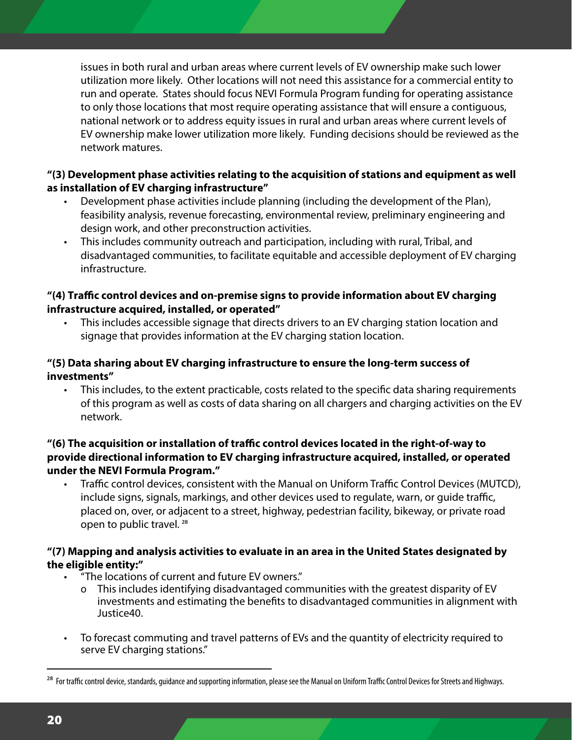issues in both rural and urban areas where current levels of EV ownership make such lower utilization more likely. Other locations will not need this assistance for a commercial entity to run and operate. States should focus NEVI Formula Program funding for operating assistance to only those locations that most require operating assistance that will ensure a contiguous, national network or to address equity issues in rural and urban areas where current levels of EV ownership make lower utilization more likely. Funding decisions should be reviewed as the network matures.

#### **"(3) Development phase activities relating to the acquisition of stations and equipment as well as installation of EV charging infrastructure"**

- Development phase activities include planning (including the development of the Plan), feasibility analysis, revenue forecasting, environmental review, preliminary engineering and design work, and other preconstruction activities.
- This includes community outreach and participation, including with rural, Tribal, and disadvantaged communities, to facilitate equitable and accessible deployment of EV charging infrastructure.

#### **"(4) Traffic control devices and on-premise signs to provide information about EV charging infrastructure acquired, installed, or operated"**

• This includes accessible signage that directs drivers to an EV charging station location and signage that provides information at the EV charging station location.

#### **"(5) Data sharing about EV charging infrastructure to ensure the long-term success of investments"**

• This includes, to the extent practicable, costs related to the specific data sharing requirements of this program as well as costs of data sharing on all chargers and charging activities on the EV network.

#### **"(6) The acquisition or installation of traffic control devices located in the right-of-way to provide directional information to EV charging infrastructure acquired, installed, or operated under the NEVI Formula Program."**

• Traffic control devices, consistent with the Manual on Uniform Traffic Control Devices (MUTCD), include signs, signals, markings, and other devices used to regulate, warn, or guide traffic, placed on, over, or adjacent to a street, highway, pedestrian facility, bikeway, or private road open to public travel. 28

#### **"(7) Mapping and analysis activities to evaluate in an area in the United States designated by the eligible entity:"**

- "The locations of current and future EV owners."
	- This includes identifying disadvantaged communities with the greatest disparity of EV investments and estimating the benefits to disadvantaged communities in alignment with Justice40.
- To forecast commuting and travel patterns of EVs and the quantity of electricity required to serve EV charging stations."

<sup>&</sup>lt;sup>28</sup> For traffic control device, standards, quidance and supporting information, please see the Manual on Uniform Traffic Control Devices for Streets and Highways.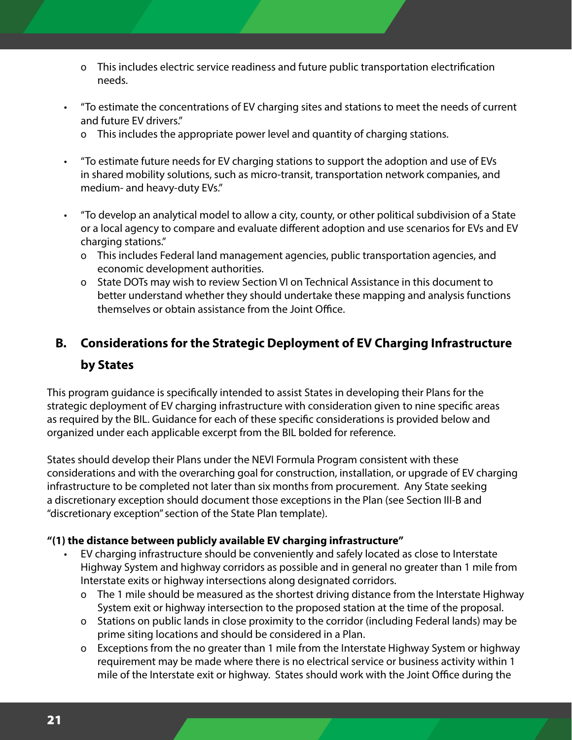- o This includes electric service readiness and future public transportation electrification needs.
- "To estimate the concentrations of EV charging sites and stations to meet the needs of current and future EV drivers."
	- o This includes the appropriate power level and quantity of charging stations.
- "To estimate future needs for EV charging stations to support the adoption and use of EVs in shared mobility solutions, such as micro-transit, transportation network companies, and medium- and heavy-duty EVs."
- "To develop an analytical model to allow a city, county, or other political subdivision of a State or a local agency to compare and evaluate different adoption and use scenarios for EVs and EV charging stations."
	- o This includes Federal land management agencies, public transportation agencies, and economic development authorities.
	- o State DOTs may wish to review Section VI on Technical Assistance in this document to better understand whether they should undertake these mapping and analysis functions themselves or obtain assistance from the Joint Office.

#### **B. Considerations for the Strategic Deployment of EV Charging Infrastructure by States**

This program guidance is specifically intended to assist States in developing their Plans for the strategic deployment of EV charging infrastructure with consideration given to nine specific areas as required by the BIL. Guidance for each of these specific considerations is provided below and organized under each applicable excerpt from the BIL bolded for reference.

States should develop their Plans under the NEVI Formula Program consistent with these considerations and with the overarching goal for construction, installation, or upgrade of EV charging infrastructure to be completed not later than six months from procurement. Any State seeking a discretionary exception should document those exceptions in the Plan (see Section III-B and "discretionary exception" section of the State Plan template).

#### **"(1) the distance between publicly available EV charging infrastructure"**

- EV charging infrastructure should be conveniently and safely located as close to Interstate Highway System and highway corridors as possible and in general no greater than 1 mile from Interstate exits or highway intersections along designated corridors.
	- o The 1 mile should be measured as the shortest driving distance from the Interstate Highway System exit or highway intersection to the proposed station at the time of the proposal.
	- o Stations on public lands in close proximity to the corridor (including Federal lands) may be prime siting locations and should be considered in a Plan.
	- o Exceptions from the no greater than 1 mile from the Interstate Highway System or highway requirement may be made where there is no electrical service or business activity within 1 mile of the Interstate exit or highway. States should work with the Joint Office during the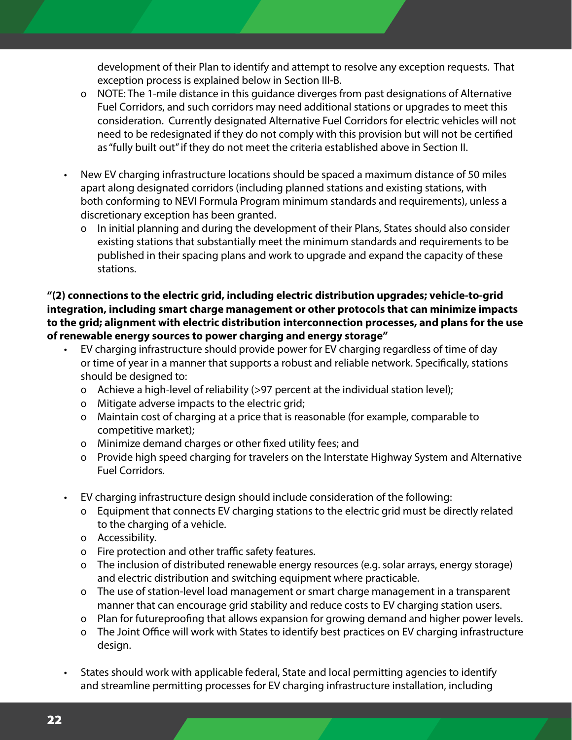development of their Plan to identify and attempt to resolve any exception requests. That exception process is explained below in Section III-B.

- o NOTE: The 1-mile distance in this guidance diverges from past designations of Alternative Fuel Corridors, and such corridors may need additional stations or upgrades to meet this consideration. Currently designated Alternative Fuel Corridors for electric vehicles will not need to be redesignated if they do not comply with this provision but will not be certified as "fully built out" if they do not meet the criteria established above in Section II.
- New EV charging infrastructure locations should be spaced a maximum distance of 50 miles apart along designated corridors (including planned stations and existing stations, with both conforming to NEVI Formula Program minimum standards and requirements), unless a discretionary exception has been granted.
	- o In initial planning and during the development of their Plans, States should also consider existing stations that substantially meet the minimum standards and requirements to be published in their spacing plans and work to upgrade and expand the capacity of these stations.

**"(2) connections to the electric grid, including electric distribution upgrades; vehicle-to-grid integration, including smart charge management or other protocols that can minimize impacts to the grid; alignment with electric distribution interconnection processes, and plans for the use of renewable energy sources to power charging and energy storage"**

- EV charging infrastructure should provide power for EV charging regardless of time of day or time of year in a manner that supports a robust and reliable network. Specifically, stations should be designed to:
	- o Achieve a high-level of reliability (>97 percent at the individual station level);
	- o Mitigate adverse impacts to the electric grid;
	- o Maintain cost of charging at a price that is reasonable (for example, comparable to competitive market);
	- o Minimize demand charges or other fixed utility fees; and
	- o Provide high speed charging for travelers on the Interstate Highway System and Alternative Fuel Corridors.
- EV charging infrastructure design should include consideration of the following:
	- o Equipment that connects EV charging stations to the electric grid must be directly related to the charging of a vehicle.
	- o Accessibility.
	- o Fire protection and other traffic safety features.
	- o The inclusion of distributed renewable energy resources (e.g. solar arrays, energy storage) and electric distribution and switching equipment where practicable.
	- o The use of station-level load management or smart charge management in a transparent manner that can encourage grid stability and reduce costs to EV charging station users.
	- o Plan for futureproofing that allows expansion for growing demand and higher power levels.
	- o The Joint Office will work with States to identify best practices on EV charging infrastructure design.
- States should work with applicable federal, State and local permitting agencies to identify and streamline permitting processes for EV charging infrastructure installation, including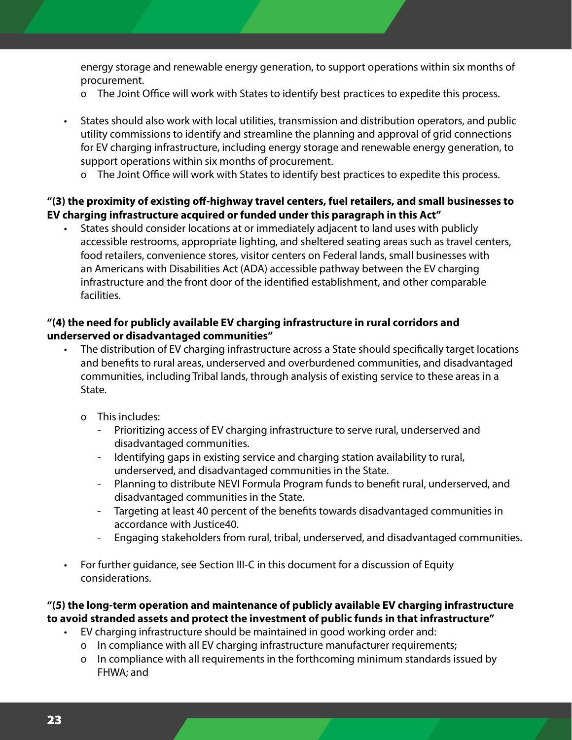energy storage and renewable energy generation, to support operations within six months of procurement.

- o The Joint Office will work with States to identify best practices to expedite this process.
- States should also work with local utilities, transmission and distribution operators, and public utility commissions to identify and streamline the planning and approval of grid connections for EV charging infrastructure, including energy storage and renewable energy generation, to support operations within six months of procurement.
	- o The Joint Office will work with States to identify best practices to expedite this process.

#### **"(3) the proximity of existing off-highway travel centers, fuel retailers, and small businesses to EV charging infrastructure acquired or funded under this paragraph in this Act"**

• States should consider locations at or immediately adjacent to land uses with publicly accessible restrooms, appropriate lighting, and sheltered seating areas such as travel centers, food retailers, convenience stores, visitor centers on Federal lands, small businesses with an Americans with Disabilities Act (ADA) accessible pathway between the EV charging infrastructure and the front door of the identified establishment, and other comparable facilities.

#### **"(4) the need for publicly available EV charging infrastructure in rural corridors and underserved or disadvantaged communities"**

- The distribution of EV charging infrastructure across a State should specifically target locations and benefits to rural areas, underserved and overburdened communities, and disadvantaged communities, including Tribal lands, through analysis of existing service to these areas in a State.
	- o This includes:
		- Prioritizing access of EV charging infrastructure to serve rural, underserved and disadvantaged communities.
		- Identifying gaps in existing service and charging station availability to rural, underserved, and disadvantaged communities in the State.
		- Planning to distribute NEVI Formula Program funds to benefit rural, underserved, and disadvantaged communities in the State.
		- Targeting at least 40 percent of the benefits towards disadvantaged communities in accordance with Justice40.
		- Engaging stakeholders from rural, tribal, underserved, and disadvantaged communities.
- For further guidance, see Section III-C in this document for a discussion of Equity considerations.

#### **"(5) the long-term operation and maintenance of publicly available EV charging infrastructure to avoid stranded assets and protect the investment of public funds in that infrastructure"**

- EV charging infrastructure should be maintained in good working order and:
	- o In compliance with all EV charging infrastructure manufacturer requirements;
	- o In compliance with all requirements in the forthcoming minimum standards issued by FHWA; and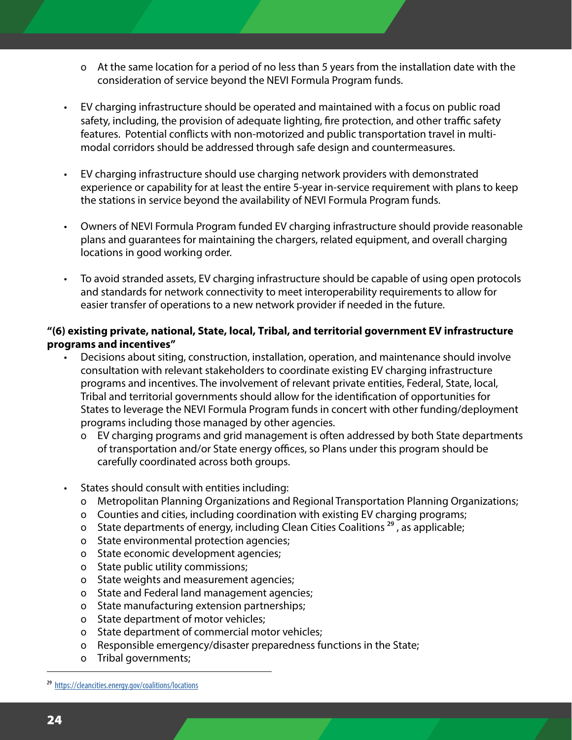- o At the same location for a period of no less than 5 years from the installation date with the consideration of service beyond the NEVI Formula Program funds.
- EV charging infrastructure should be operated and maintained with a focus on public road safety, including, the provision of adequate lighting, fire protection, and other traffic safety features. Potential conflicts with non-motorized and public transportation travel in multimodal corridors should be addressed through safe design and countermeasures.
- EV charging infrastructure should use charging network providers with demonstrated experience or capability for at least the entire 5-year in-service requirement with plans to keep the stations in service beyond the availability of NEVI Formula Program funds.
- Owners of NEVI Formula Program funded EV charging infrastructure should provide reasonable plans and guarantees for maintaining the chargers, related equipment, and overall charging locations in good working order.
- To avoid stranded assets, EV charging infrastructure should be capable of using open protocols and standards for network connectivity to meet interoperability requirements to allow for easier transfer of operations to a new network provider if needed in the future.

#### **"(6) existing private, national, State, local, Tribal, and territorial government EV infrastructure programs and incentives"**

- Decisions about siting, construction, installation, operation, and maintenance should involve consultation with relevant stakeholders to coordinate existing EV charging infrastructure programs and incentives. The involvement of relevant private entities, Federal, State, local, Tribal and territorial governments should allow for the identification of opportunities for States to leverage the NEVI Formula Program funds in concert with other funding/deployment programs including those managed by other agencies.
	- o EV charging programs and grid management is often addressed by both State departments of transportation and/or State energy offices, so Plans under this program should be carefully coordinated across both groups.
- States should consult with entities including:
	- o Metropolitan Planning Organizations and Regional Transportation Planning Organizations;
	- o Counties and cities, including coordination with existing EV charging programs;
	- o State departments of energy, including Clean Cities Coalitions  $^{29}$ , as applicable;
	- o State environmental protection agencies;
	- o State economic development agencies;
	- o State public utility commissions;
	- o State weights and measurement agencies;
	- o State and Federal land management agencies;
	- o State manufacturing extension partnerships;
	- o State department of motor vehicles;
	- o State department of commercial motor vehicles;
	- o Responsible emergency/disaster preparedness functions in the State;
	- o Tribal governments;

<sup>29</sup> <https://cleancities.energy.gov/coalitions/locations>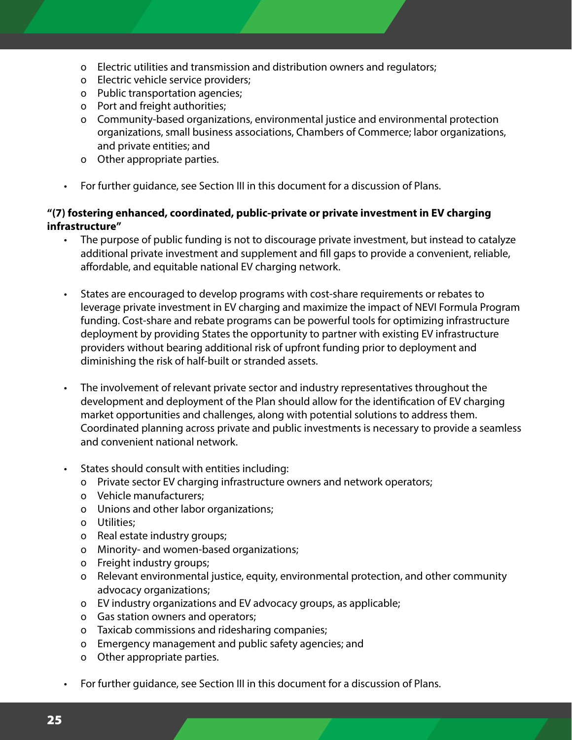- o Electric utilities and transmission and distribution owners and regulators;
- o Electric vehicle service providers;
- o Public transportation agencies;
- o Port and freight authorities;
- o Community-based organizations, environmental justice and environmental protection organizations, small business associations, Chambers of Commerce; labor organizations, and private entities; and
- o Other appropriate parties.
- For further guidance, see Section III in this document for a discussion of Plans.

#### **"(7) fostering enhanced, coordinated, public-private or private investment in EV charging infrastructure"**

- The purpose of public funding is not to discourage private investment, but instead to catalyze additional private investment and supplement and fill gaps to provide a convenient, reliable, affordable, and equitable national EV charging network.
- States are encouraged to develop programs with cost-share requirements or rebates to leverage private investment in EV charging and maximize the impact of NEVI Formula Program funding. Cost-share and rebate programs can be powerful tools for optimizing infrastructure deployment by providing States the opportunity to partner with existing EV infrastructure providers without bearing additional risk of upfront funding prior to deployment and diminishing the risk of half-built or stranded assets.
- The involvement of relevant private sector and industry representatives throughout the development and deployment of the Plan should allow for the identification of EV charging market opportunities and challenges, along with potential solutions to address them. Coordinated planning across private and public investments is necessary to provide a seamless and convenient national network.
- States should consult with entities including:
	- o Private sector EV charging infrastructure owners and network operators;
	- o Vehicle manufacturers;
	- o Unions and other labor organizations;
	- o Utilities:
	- o Real estate industry groups;
	- o Minority- and women-based organizations;
	- o Freight industry groups;
	- o Relevant environmental justice, equity, environmental protection, and other community advocacy organizations;
	- o EV industry organizations and EV advocacy groups, as applicable;
	- o Gas station owners and operators;
	- o Taxicab commissions and ridesharing companies;
	- o Emergency management and public safety agencies; and
	- o Other appropriate parties.
	- For further guidance, see Section III in this document for a discussion of Plans.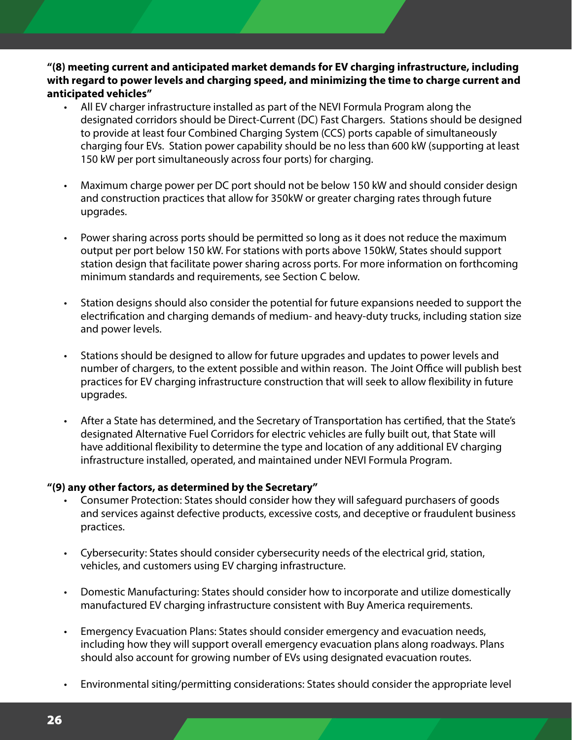**"(8) meeting current and anticipated market demands for EV charging infrastructure, including with regard to power levels and charging speed, and minimizing the time to charge current and anticipated vehicles"**

- All EV charger infrastructure installed as part of the NEVI Formula Program along the designated corridors should be Direct-Current (DC) Fast Chargers. Stations should be designed to provide at least four Combined Charging System (CCS) ports capable of simultaneously charging four EVs. Station power capability should be no less than 600 kW (supporting at least 150 kW per port simultaneously across four ports) for charging.
- Maximum charge power per DC port should not be below 150 kW and should consider design and construction practices that allow for 350kW or greater charging rates through future upgrades.
- Power sharing across ports should be permitted so long as it does not reduce the maximum output per port below 150 kW. For stations with ports above 150kW, States should support station design that facilitate power sharing across ports. For more information on forthcoming minimum standards and requirements, see Section C below.
- Station designs should also consider the potential for future expansions needed to support the electrification and charging demands of medium- and heavy-duty trucks, including station size and power levels.
- Stations should be designed to allow for future upgrades and updates to power levels and number of chargers, to the extent possible and within reason. The Joint Office will publish best practices for EV charging infrastructure construction that will seek to allow flexibility in future upgrades.
- After a State has determined, and the Secretary of Transportation has certified, that the State's designated Alternative Fuel Corridors for electric vehicles are fully built out, that State will have additional flexibility to determine the type and location of any additional EV charging infrastructure installed, operated, and maintained under NEVI Formula Program.

#### **"(9) any other factors, as determined by the Secretary"**

- Consumer Protection: States should consider how they will safeguard purchasers of goods and services against defective products, excessive costs, and deceptive or fraudulent business practices.
- Cybersecurity: States should consider cybersecurity needs of the electrical grid, station, vehicles, and customers using EV charging infrastructure.
- Domestic Manufacturing: States should consider how to incorporate and utilize domestically manufactured EV charging infrastructure consistent with Buy America requirements.
- Emergency Evacuation Plans: States should consider emergency and evacuation needs, including how they will support overall emergency evacuation plans along roadways. Plans should also account for growing number of EVs using designated evacuation routes.
- Environmental siting/permitting considerations: States should consider the appropriate level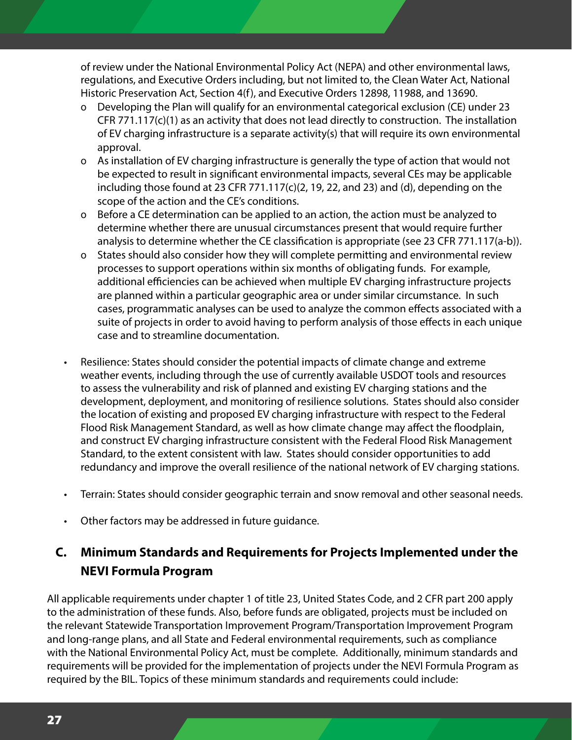of review under the National Environmental Policy Act (NEPA) and other environmental laws, regulations, and Executive Orders including, but not limited to, the Clean Water Act, National Historic Preservation Act, Section 4(f), and Executive Orders 12898, 11988, and 13690.

- Ĕ Developing the Plan will qualify for an environmental categorical exclusion (CE) under 23 CFR 771.117(c)(1) as an activity that does not lead directly to construction. The installation of EV charging infrastructure is a separate activity(s) that will require its own environmental approval.
- o As installation of EV charging infrastructure is generally the type of action that would not be expected to result in significant environmental impacts, several CEs may be applicable including those found at 23 CFR 771.117(c)(2, 19, 22, and 23) and (d), depending on the scope of the action and the CE's conditions.
- o Before a CE determination can be applied to an action, the action must be analyzed to determine whether there are unusual circumstances present that would require further analysis to determine whether the CE classification is appropriate (see 23 CFR 771.117(a-b)).
- o States should also consider how they will complete permitting and environmental review processes to support operations within six months of obligating funds. For example, additional efficiencies can be achieved when multiple EV charging infrastructure projects are planned within a particular geographic area or under similar circumstance. In such cases, programmatic analyses can be used to analyze the common effects associated with a suite of projects in order to avoid having to perform analysis of those effects in each unique case and to streamline documentation.
- Resilience: States should consider the potential impacts of climate change and extreme weather events, including through the use of currently available USDOT tools and resources to assess the vulnerability and risk of planned and existing EV charging stations and the development, deployment, and monitoring of resilience solutions. States should also consider the location of existing and proposed EV charging infrastructure with respect to the Federal Flood Risk Management Standard, as well as how climate change may affect the floodplain, and construct EV charging infrastructure consistent with the Federal Flood Risk Management Standard, to the extent consistent with law. States should consider opportunities to add redundancy and improve the overall resilience of the national network of EV charging stations.
- Terrain: States should consider geographic terrain and snow removal and other seasonal needs.
- Other factors may be addressed in future guidance.

#### **C. Minimum Standards and Requirements for Projects Implemented under the NEVI Formula Program**

All applicable requirements under chapter 1 of title 23, United States Code, and 2 CFR part 200 apply to the administration of these funds. Also, before funds are obligated, projects must be included on the relevant Statewide Transportation Improvement Program/Transportation Improvement Program and long-range plans, and all State and Federal environmental requirements, such as compliance with the National Environmental Policy Act, must be complete. Additionally, minimum standards and requirements will be provided for the implementation of projects under the NEVI Formula Program as required by the BIL. Topics of these minimum standards and requirements could include: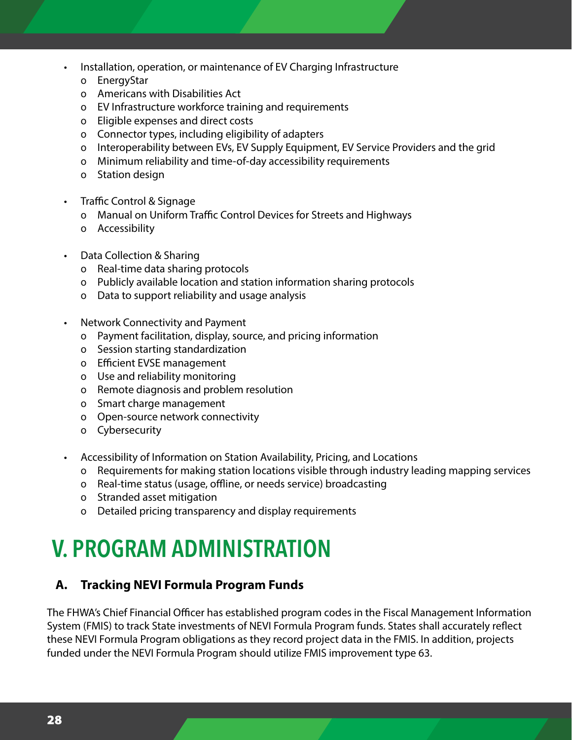- Installation, operation, or maintenance of EV Charging Infrastructure
	- o EnergyStar
	- o Americans with Disabilities Act
	- o EV Infrastructure workforce training and requirements
	- o Eligible expenses and direct costs
	- o Connector types, including eligibility of adapters
	- o Interoperability between EVs, EV Supply Equipment, EV Service Providers and the grid
	- o Minimum reliability and time-of-day accessibility requirements
	- o Station design
- Traffic Control & Signage
	- o Manual on Uniform Traffic Control Devices for Streets and Highways
	- o Accessibility
- Data Collection & Sharing
	- o Real-time data sharing protocols
	- o Publicly available location and station information sharing protocols
	- o Data to support reliability and usage analysis
- Network Connectivity and Payment
	- o Payment facilitation, display, source, and pricing information
	- o Session starting standardization
	- o Efficient EVSE management
	- o Use and reliability monitoring
	- o Remote diagnosis and problem resolution
	- o Smart charge management
	- o Open-source network connectivity
	- o Cybersecurity
- Accessibility of Information on Station Availability, Pricing, and Locations
	- o Requirements for making station locations visible through industry leading mapping services
	- o Real-time status (usage, offline, or needs service) broadcasting
	- o Stranded asset mitigation
	- o Detailed pricing transparency and display requirements

### **V. PROGRAM ADMINISTRATION**

#### **A. Tracking NEVI Formula Program Funds**

The FHWA's Chief Financial Officer has established program codes in the Fiscal Management Information System (FMIS) to track State investments of NEVI Formula Program funds. States shall accurately reflect these NEVI Formula Program obligations as they record project data in the FMIS. In addition, projects funded under the NEVI Formula Program should utilize FMIS improvement type 63.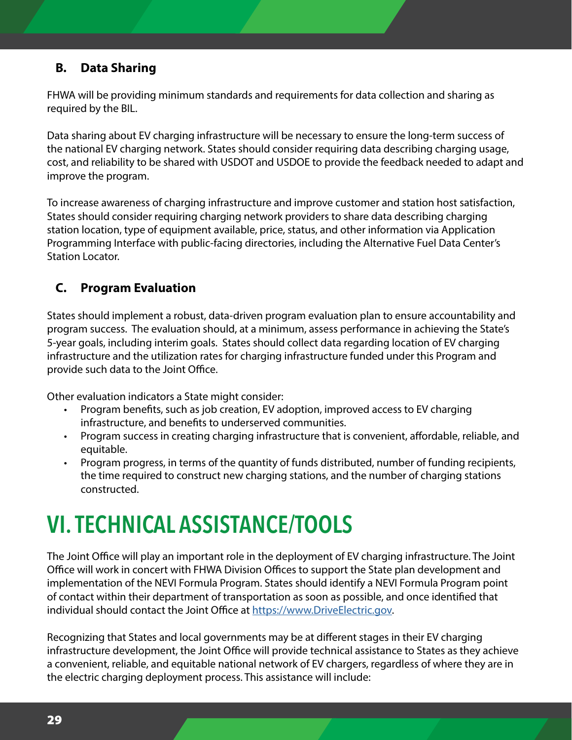#### **B. Data Sharing**

FHWA will be providing minimum standards and requirements for data collection and sharing as required by the BIL.

Data sharing about EV charging infrastructure will be necessary to ensure the long-term success of the national EV charging network. States should consider requiring data describing charging usage, cost, and reliability to be shared with USDOT and USDOE to provide the feedback needed to adapt and improve the program.

To increase awareness of charging infrastructure and improve customer and station host satisfaction, States should consider requiring charging network providers to share data describing charging station location, type of equipment available, price, status, and other information via Application Programming Interface with public-facing directories, including the Alternative Fuel Data Center's Station Locator.

#### **C. Program Evaluation**

States should implement a robust, data-driven program evaluation plan to ensure accountability and program success. The evaluation should, at a minimum, assess performance in achieving the State's 5-year goals, including interim goals. States should collect data regarding location of EV charging infrastructure and the utilization rates for charging infrastructure funded under this Program and provide such data to the Joint Office.

Other evaluation indicators a State might consider:

- Program benefits, such as job creation, EV adoption, improved access to EV charging infrastructure, and benefits to underserved communities.
- Program success in creating charging infrastructure that is convenient, affordable, reliable, and equitable.
- Program progress, in terms of the quantity of funds distributed, number of funding recipients, the time required to construct new charging stations, and the number of charging stations constructed.

## **VI. TECHNICAL ASSISTANCE/TOOLS**

The Joint Office will play an important role in the deployment of EV charging infrastructure. The Joint Office will work in concert with FHWA Division Offices to support the State plan development and implementation of the NEVI Formula Program. States should identify a NEVI Formula Program point of contact within their department of transportation as soon as possible, and once identified that individual should contact the Joint Office at [https://www.DriveElectric.gov.](https://www.DriveElectric.gov)

Recognizing that States and local governments may be at different stages in their EV charging infrastructure development, the Joint Office will provide technical assistance to States as they achieve a convenient, reliable, and equitable national network of EV chargers, regardless of where they are in the electric charging deployment process. This assistance will include: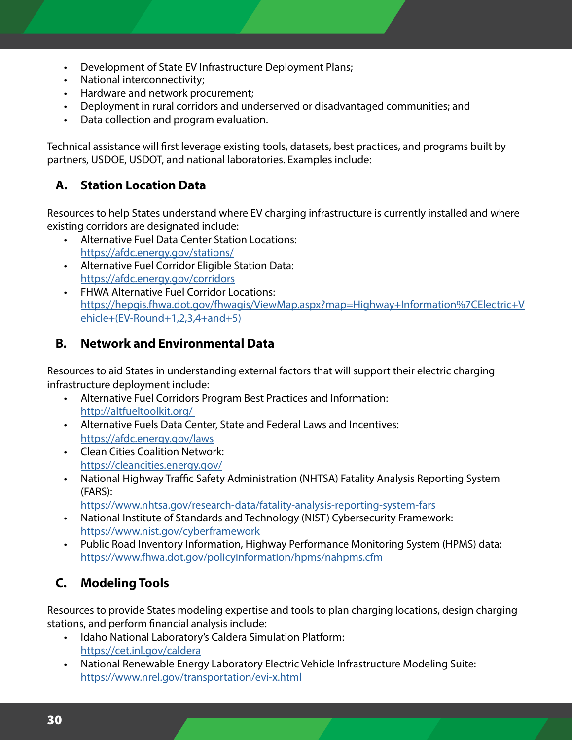- Development of State EV Infrastructure Deployment Plans;
- National interconnectivity;
- Hardware and network procurement;
- Deployment in rural corridors and underserved or disadvantaged communities; and
- Data collection and program evaluation.

Technical assistance will first leverage existing tools, datasets, best practices, and programs built by partners, USDOE, USDOT, and national laboratories. Examples include:

#### **A. Station Location Data**

Resources to help States understand where EV charging infrastructure is currently installed and where existing corridors are designated include:

- Alternative Fuel Data Center Station Locations: <https://afdc.energy.gov/stations/>
- Alternative Fuel Corridor Eligible Station Data: <https://afdc.energy.gov/corridors>
- FHWA Alternative Fuel Corridor Locations: [https://hepgis.fhwa.dot.gov/fhwagis/ViewMap.aspx?map=Highway+Information%7CElectric+V](https://hepgis.fhwa.dot.gov/fhwagis/ViewMap.aspx?map=Highway+Information%7CElectric+Vehicle+(EV-Round+1,2,3,4+and+5)) [ehicle+\(EV-Round+1,2,3,4+and+5\)](https://hepgis.fhwa.dot.gov/fhwagis/ViewMap.aspx?map=Highway+Information%7CElectric+Vehicle+(EV-Round+1,2,3,4+and+5))

#### **B. Network and Environmental Data**

Resources to aid States in understanding external factors that will support their electric charging infrastructure deployment include:

- Alternative Fuel Corridors Program Best Practices and Information: [http://altfueltoolkit.org/](http://altfueltoolkit.org/ )
- Alternative Fuels Data Center, State and Federal Laws and Incentives: <https://afdc.energy.gov/laws>
- Clean Cities Coalition Network: <https://cleancities.energy.gov/>
- National Highway Traffic Safety Administration (NHTSA) Fatality Analysis Reporting System (FARS):

[https://www.nhtsa.gov/research-data/fatality-analysis-reporting-system-fars](https://www.nhtsa.gov/research-data/fatality-analysis-reporting-system-fars ) 

- National Institute of Standards and Technology (NIST) Cybersecurity Framework: <https://www.nist.gov/cyberframework>
- Public Road Inventory Information, Highway Performance Monitoring System (HPMS) data: <https://www.fhwa.dot.gov/policyinformation/hpms/nahpms.cfm>

#### **C. Modeling Tools**

Resources to provide States modeling expertise and tools to plan charging locations, design charging stations, and perform financial analysis include:

- Idaho National Laboratory's Caldera Simulation Platform: <https://cet.inl.gov/caldera>
- National Renewable Energy Laboratory Electric Vehicle Infrastructure Modeling Suite: [https://www.nrel.gov/transportation/evi-x.html](https://www.nrel.gov/transportation/evi-x.html )